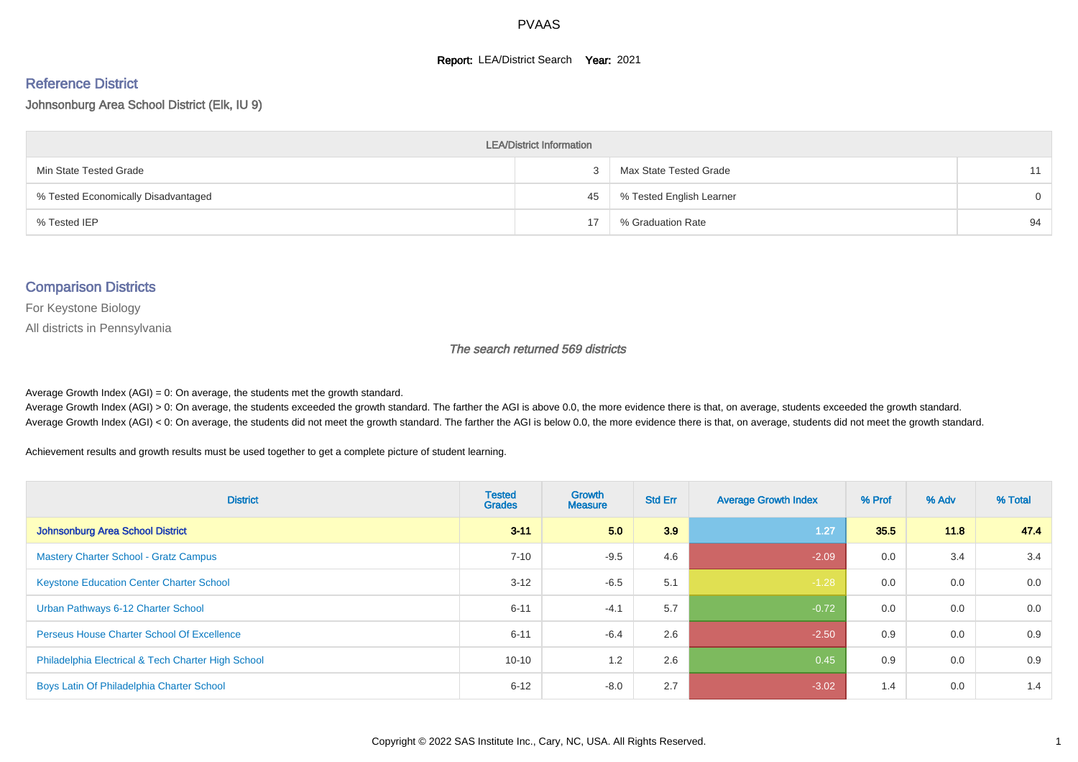#### **Report: LEA/District Search Year: 2021**

# Reference District

Johnsonburg Area School District (Elk, IU 9)

| <b>LEA/District Information</b>     |    |                          |          |  |  |  |  |  |  |  |
|-------------------------------------|----|--------------------------|----------|--|--|--|--|--|--|--|
| Min State Tested Grade              |    | Max State Tested Grade   | 11       |  |  |  |  |  |  |  |
| % Tested Economically Disadvantaged | 45 | % Tested English Learner | $\Omega$ |  |  |  |  |  |  |  |
| % Tested IEP                        | 17 | % Graduation Rate        | 94       |  |  |  |  |  |  |  |

#### Comparison Districts

For Keystone Biology

All districts in Pennsylvania

The search returned 569 districts

Average Growth Index  $(AGI) = 0$ : On average, the students met the growth standard.

Average Growth Index (AGI) > 0: On average, the students exceeded the growth standard. The farther the AGI is above 0.0, the more evidence there is that, on average, students exceeded the growth standard. Average Growth Index (AGI) < 0: On average, the students did not meet the growth standard. The farther the AGI is below 0.0, the more evidence there is that, on average, students did not meet the growth standard.

Achievement results and growth results must be used together to get a complete picture of student learning.

| <b>District</b>                                    | <b>Tested</b><br><b>Grades</b> | <b>Growth</b><br><b>Measure</b> | <b>Std Err</b> | <b>Average Growth Index</b> | % Prof | % Adv | % Total |
|----------------------------------------------------|--------------------------------|---------------------------------|----------------|-----------------------------|--------|-------|---------|
| Johnsonburg Area School District                   | $3 - 11$                       | 5.0                             | 3.9            | 1.27                        | 35.5   | 11.8  | 47.4    |
| <b>Mastery Charter School - Gratz Campus</b>       | $7 - 10$                       | $-9.5$                          | 4.6            | $-2.09$                     | 0.0    | 3.4   | 3.4     |
| <b>Keystone Education Center Charter School</b>    | $3 - 12$                       | $-6.5$                          | 5.1            | $-1.28$                     | 0.0    | 0.0   | 0.0     |
| Urban Pathways 6-12 Charter School                 | $6 - 11$                       | $-4.1$                          | 5.7            | $-0.72$                     | 0.0    | 0.0   | 0.0     |
| <b>Perseus House Charter School Of Excellence</b>  | $6 - 11$                       | $-6.4$                          | 2.6            | $-2.50$                     | 0.9    | 0.0   | 0.9     |
| Philadelphia Electrical & Tech Charter High School | $10 - 10$                      | 1.2                             | 2.6            | 0.45                        | 0.9    | 0.0   | 0.9     |
| Boys Latin Of Philadelphia Charter School          | $6 - 12$                       | $-8.0$                          | 2.7            | $-3.02$                     | 1.4    | 0.0   | 1.4     |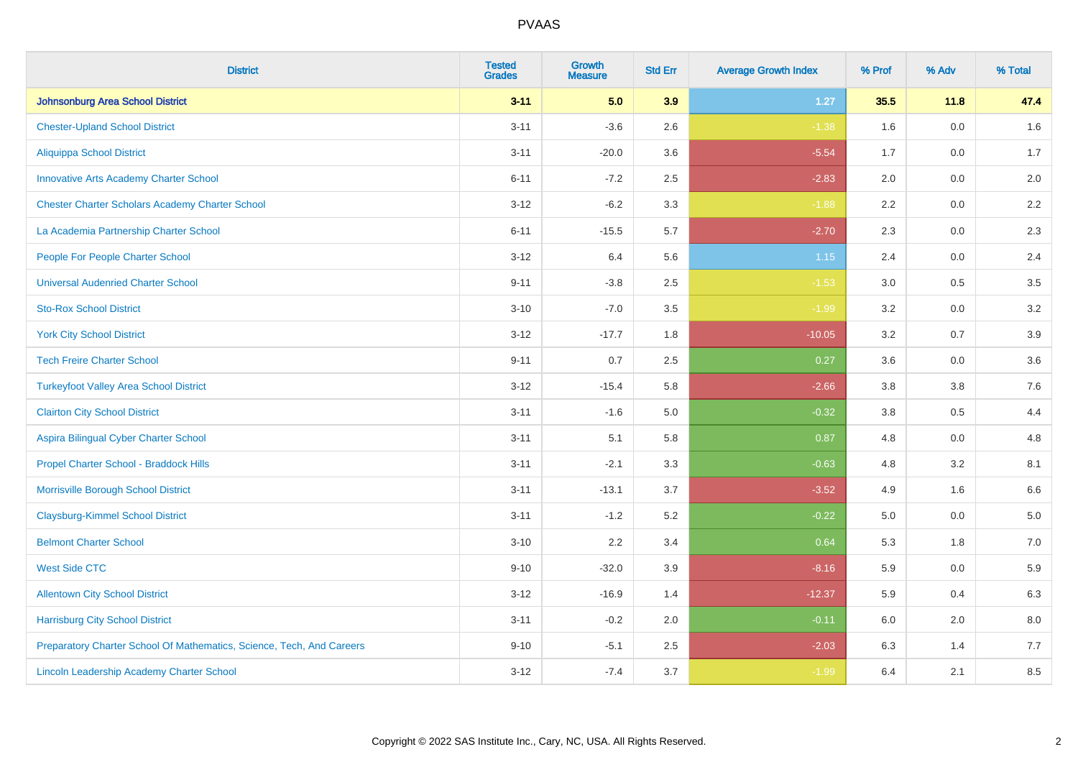| <b>District</b>                                                       | <b>Tested</b><br><b>Grades</b> | <b>Growth</b><br><b>Measure</b> | <b>Std Err</b> | <b>Average Growth Index</b> | % Prof  | % Adv | % Total |
|-----------------------------------------------------------------------|--------------------------------|---------------------------------|----------------|-----------------------------|---------|-------|---------|
| <b>Johnsonburg Area School District</b>                               | $3 - 11$                       | 5.0                             | 3.9            | $1.27$                      | 35.5    | 11.8  | 47.4    |
| <b>Chester-Upland School District</b>                                 | $3 - 11$                       | $-3.6$                          | 2.6            | $-1.38$                     | 1.6     | 0.0   | $1.6\,$ |
| <b>Aliquippa School District</b>                                      | $3 - 11$                       | $-20.0$                         | 3.6            | $-5.54$                     | 1.7     | 0.0   | 1.7     |
| <b>Innovative Arts Academy Charter School</b>                         | $6 - 11$                       | $-7.2$                          | 2.5            | $-2.83$                     | 2.0     | 0.0   | 2.0     |
| <b>Chester Charter Scholars Academy Charter School</b>                | $3 - 12$                       | $-6.2$                          | 3.3            | $-1.88$                     | 2.2     | 0.0   | $2.2\,$ |
| La Academia Partnership Charter School                                | $6 - 11$                       | $-15.5$                         | 5.7            | $-2.70$                     | 2.3     | 0.0   | 2.3     |
| People For People Charter School                                      | $3 - 12$                       | 6.4                             | 5.6            | 1.15                        | 2.4     | 0.0   | 2.4     |
| <b>Universal Audenried Charter School</b>                             | $9 - 11$                       | $-3.8$                          | 2.5            | $-1.53$                     | 3.0     | 0.5   | 3.5     |
| <b>Sto-Rox School District</b>                                        | $3 - 10$                       | $-7.0$                          | 3.5            | $-1.99$                     | 3.2     | 0.0   | $3.2\,$ |
| <b>York City School District</b>                                      | $3 - 12$                       | $-17.7$                         | 1.8            | $-10.05$                    | 3.2     | 0.7   | 3.9     |
| <b>Tech Freire Charter School</b>                                     | $9 - 11$                       | 0.7                             | 2.5            | 0.27                        | 3.6     | 0.0   | 3.6     |
| <b>Turkeyfoot Valley Area School District</b>                         | $3 - 12$                       | $-15.4$                         | 5.8            | $-2.66$                     | 3.8     | 3.8   | 7.6     |
| <b>Clairton City School District</b>                                  | $3 - 11$                       | $-1.6$                          | 5.0            | $-0.32$                     | $3.8\,$ | 0.5   | 4.4     |
| Aspira Bilingual Cyber Charter School                                 | $3 - 11$                       | 5.1                             | 5.8            | 0.87                        | 4.8     | 0.0   | 4.8     |
| Propel Charter School - Braddock Hills                                | $3 - 11$                       | $-2.1$                          | 3.3            | $-0.63$                     | 4.8     | 3.2   | 8.1     |
| Morrisville Borough School District                                   | $3 - 11$                       | $-13.1$                         | 3.7            | $-3.52$                     | 4.9     | 1.6   | 6.6     |
| <b>Claysburg-Kimmel School District</b>                               | $3 - 11$                       | $-1.2$                          | 5.2            | $-0.22$                     | 5.0     | 0.0   | 5.0     |
| <b>Belmont Charter School</b>                                         | $3 - 10$                       | 2.2                             | 3.4            | 0.64                        | 5.3     | 1.8   | $7.0\,$ |
| <b>West Side CTC</b>                                                  | $9 - 10$                       | $-32.0$                         | 3.9            | $-8.16$                     | 5.9     | 0.0   | 5.9     |
| <b>Allentown City School District</b>                                 | $3 - 12$                       | $-16.9$                         | 1.4            | $-12.37$                    | 5.9     | 0.4   | 6.3     |
| <b>Harrisburg City School District</b>                                | $3 - 11$                       | $-0.2$                          | 2.0            | $-0.11$                     | 6.0     | 2.0   | 8.0     |
| Preparatory Charter School Of Mathematics, Science, Tech, And Careers | $9 - 10$                       | $-5.1$                          | 2.5            | $-2.03$                     | 6.3     | 1.4   | 7.7     |
| Lincoln Leadership Academy Charter School                             | $3 - 12$                       | $-7.4$                          | 3.7            | $-1.99$                     | 6.4     | 2.1   | 8.5     |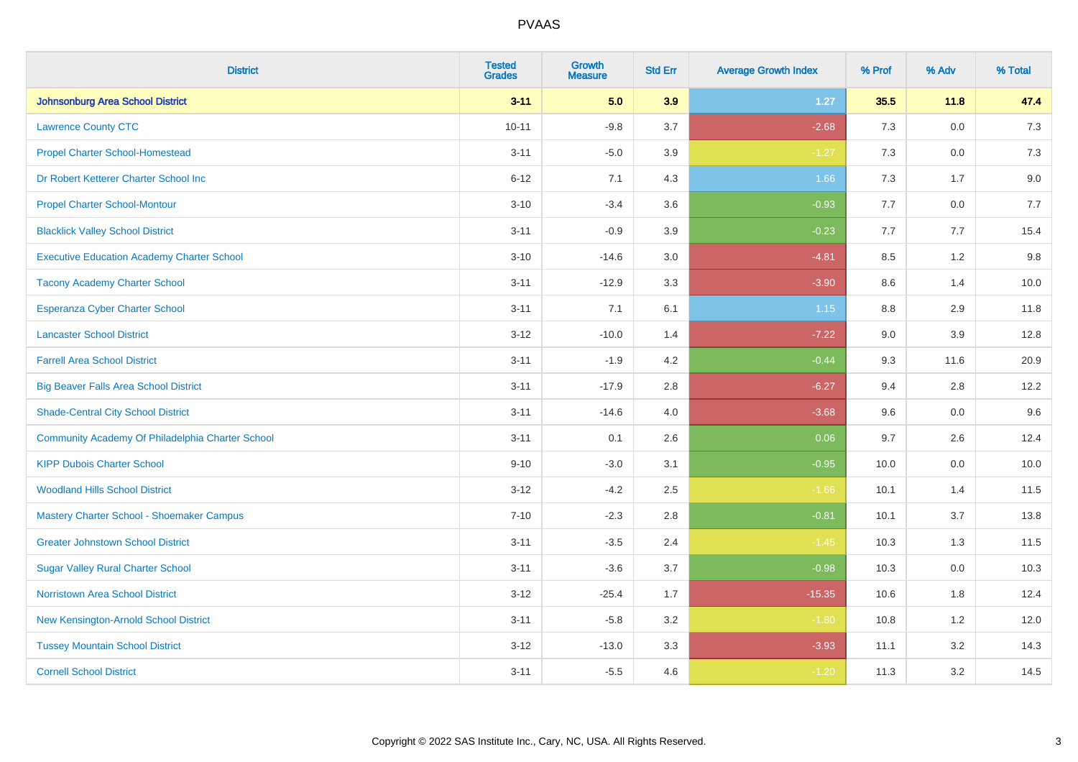| <b>District</b>                                   | <b>Tested</b><br><b>Grades</b> | <b>Growth</b><br><b>Measure</b> | <b>Std Err</b> | <b>Average Growth Index</b> | % Prof | % Adv   | % Total |
|---------------------------------------------------|--------------------------------|---------------------------------|----------------|-----------------------------|--------|---------|---------|
| Johnsonburg Area School District                  | $3 - 11$                       | 5.0                             | 3.9            | $1.27$                      | 35.5   | 11.8    | 47.4    |
| <b>Lawrence County CTC</b>                        | $10 - 11$                      | $-9.8$                          | 3.7            | $-2.68$                     | 7.3    | 0.0     | 7.3     |
| <b>Propel Charter School-Homestead</b>            | $3 - 11$                       | $-5.0$                          | 3.9            | $-1.27$                     | 7.3    | 0.0     | $7.3$   |
| Dr Robert Ketterer Charter School Inc             | $6 - 12$                       | 7.1                             | 4.3            | 1.66                        | 7.3    | 1.7     | 9.0     |
| <b>Propel Charter School-Montour</b>              | $3 - 10$                       | $-3.4$                          | 3.6            | $-0.93$                     | 7.7    | 0.0     | 7.7     |
| <b>Blacklick Valley School District</b>           | $3 - 11$                       | $-0.9$                          | 3.9            | $-0.23$                     | 7.7    | 7.7     | 15.4    |
| <b>Executive Education Academy Charter School</b> | $3 - 10$                       | $-14.6$                         | 3.0            | $-4.81$                     | 8.5    | 1.2     | 9.8     |
| <b>Tacony Academy Charter School</b>              | $3 - 11$                       | $-12.9$                         | 3.3            | $-3.90$                     | 8.6    | 1.4     | 10.0    |
| <b>Esperanza Cyber Charter School</b>             | $3 - 11$                       | 7.1                             | 6.1            | 1.15                        | 8.8    | 2.9     | 11.8    |
| <b>Lancaster School District</b>                  | $3 - 12$                       | $-10.0$                         | 1.4            | $-7.22$                     | 9.0    | 3.9     | 12.8    |
| <b>Farrell Area School District</b>               | $3 - 11$                       | $-1.9$                          | 4.2            | $-0.44$                     | 9.3    | 11.6    | 20.9    |
| <b>Big Beaver Falls Area School District</b>      | $3 - 11$                       | $-17.9$                         | 2.8            | $-6.27$                     | 9.4    | 2.8     | 12.2    |
| <b>Shade-Central City School District</b>         | $3 - 11$                       | $-14.6$                         | 4.0            | $-3.68$                     | 9.6    | $0.0\,$ | 9.6     |
| Community Academy Of Philadelphia Charter School  | $3 - 11$                       | 0.1                             | 2.6            | 0.06                        | 9.7    | 2.6     | 12.4    |
| <b>KIPP Dubois Charter School</b>                 | $9 - 10$                       | $-3.0$                          | 3.1            | $-0.95$                     | 10.0   | 0.0     | 10.0    |
| <b>Woodland Hills School District</b>             | $3 - 12$                       | $-4.2$                          | 2.5            | $-1.66$                     | 10.1   | 1.4     | 11.5    |
| Mastery Charter School - Shoemaker Campus         | $7 - 10$                       | $-2.3$                          | 2.8            | $-0.81$                     | 10.1   | 3.7     | 13.8    |
| <b>Greater Johnstown School District</b>          | $3 - 11$                       | $-3.5$                          | 2.4            | $-1.45$                     | 10.3   | 1.3     | 11.5    |
| <b>Sugar Valley Rural Charter School</b>          | $3 - 11$                       | $-3.6$                          | 3.7            | $-0.98$                     | 10.3   | 0.0     | 10.3    |
| <b>Norristown Area School District</b>            | $3 - 12$                       | $-25.4$                         | 1.7            | $-15.35$                    | 10.6   | 1.8     | 12.4    |
| New Kensington-Arnold School District             | $3 - 11$                       | $-5.8$                          | 3.2            | $-1.80$                     | 10.8   | 1.2     | 12.0    |
| <b>Tussey Mountain School District</b>            | $3-12$                         | $-13.0$                         | 3.3            | $-3.93$                     | 11.1   | 3.2     | 14.3    |
| <b>Cornell School District</b>                    | $3 - 11$                       | $-5.5$                          | 4.6            | $-1.20$                     | 11.3   | 3.2     | 14.5    |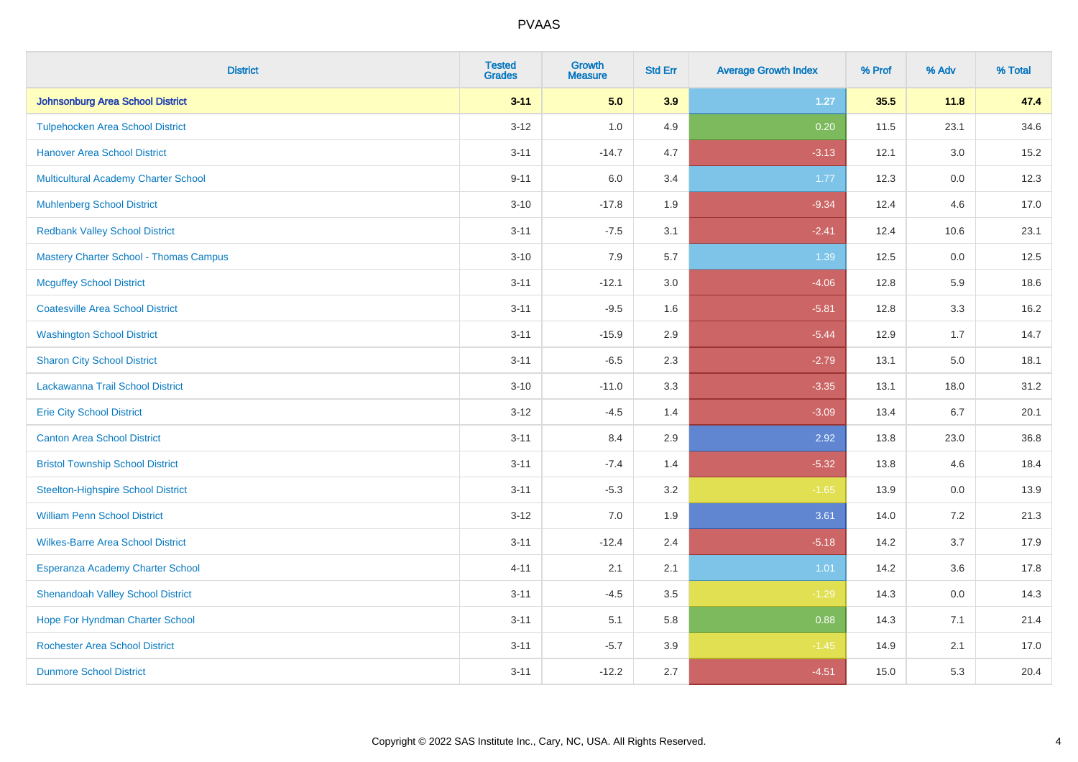| <b>District</b>                               | <b>Tested</b><br><b>Grades</b> | <b>Growth</b><br><b>Measure</b> | <b>Std Err</b> | <b>Average Growth Index</b> | % Prof | % Adv   | % Total |
|-----------------------------------------------|--------------------------------|---------------------------------|----------------|-----------------------------|--------|---------|---------|
| Johnsonburg Area School District              | $3 - 11$                       | 5.0                             | 3.9            | $1.27$                      | 35.5   | 11.8    | 47.4    |
| <b>Tulpehocken Area School District</b>       | $3 - 12$                       | 1.0                             | 4.9            | 0.20                        | 11.5   | 23.1    | 34.6    |
| <b>Hanover Area School District</b>           | $3 - 11$                       | $-14.7$                         | 4.7            | $-3.13$                     | 12.1   | 3.0     | 15.2    |
| Multicultural Academy Charter School          | $9 - 11$                       | 6.0                             | 3.4            | 1.77                        | 12.3   | 0.0     | 12.3    |
| <b>Muhlenberg School District</b>             | $3 - 10$                       | $-17.8$                         | 1.9            | $-9.34$                     | 12.4   | 4.6     | 17.0    |
| <b>Redbank Valley School District</b>         | $3 - 11$                       | $-7.5$                          | 3.1            | $-2.41$                     | 12.4   | 10.6    | 23.1    |
| <b>Mastery Charter School - Thomas Campus</b> | $3 - 10$                       | 7.9                             | 5.7            | 1.39                        | 12.5   | $0.0\,$ | 12.5    |
| <b>Mcguffey School District</b>               | $3 - 11$                       | $-12.1$                         | 3.0            | $-4.06$                     | 12.8   | 5.9     | 18.6    |
| <b>Coatesville Area School District</b>       | $3 - 11$                       | $-9.5$                          | 1.6            | $-5.81$                     | 12.8   | 3.3     | 16.2    |
| <b>Washington School District</b>             | $3 - 11$                       | $-15.9$                         | 2.9            | $-5.44$                     | 12.9   | 1.7     | 14.7    |
| <b>Sharon City School District</b>            | $3 - 11$                       | $-6.5$                          | 2.3            | $-2.79$                     | 13.1   | 5.0     | 18.1    |
| Lackawanna Trail School District              | $3 - 10$                       | $-11.0$                         | 3.3            | $-3.35$                     | 13.1   | 18.0    | 31.2    |
| <b>Erie City School District</b>              | $3 - 12$                       | $-4.5$                          | 1.4            | $-3.09$                     | 13.4   | 6.7     | 20.1    |
| <b>Canton Area School District</b>            | $3 - 11$                       | 8.4                             | 2.9            | 2.92                        | 13.8   | 23.0    | 36.8    |
| <b>Bristol Township School District</b>       | $3 - 11$                       | $-7.4$                          | 1.4            | $-5.32$                     | 13.8   | 4.6     | 18.4    |
| <b>Steelton-Highspire School District</b>     | $3 - 11$                       | $-5.3$                          | 3.2            | $-1.65$                     | 13.9   | 0.0     | 13.9    |
| <b>William Penn School District</b>           | $3 - 12$                       | 7.0                             | 1.9            | 3.61                        | 14.0   | 7.2     | 21.3    |
| <b>Wilkes-Barre Area School District</b>      | $3 - 11$                       | $-12.4$                         | 2.4            | $-5.18$                     | 14.2   | 3.7     | 17.9    |
| Esperanza Academy Charter School              | $4 - 11$                       | 2.1                             | 2.1            | 1.01                        | 14.2   | 3.6     | 17.8    |
| <b>Shenandoah Valley School District</b>      | $3 - 11$                       | $-4.5$                          | 3.5            | $-1.29$                     | 14.3   | 0.0     | 14.3    |
| Hope For Hyndman Charter School               | $3 - 11$                       | 5.1                             | 5.8            | 0.88                        | 14.3   | 7.1     | 21.4    |
| <b>Rochester Area School District</b>         | $3 - 11$                       | $-5.7$                          | 3.9            | $-1.45$                     | 14.9   | 2.1     | 17.0    |
| <b>Dunmore School District</b>                | $3 - 11$                       | $-12.2$                         | 2.7            | $-4.51$                     | 15.0   | 5.3     | 20.4    |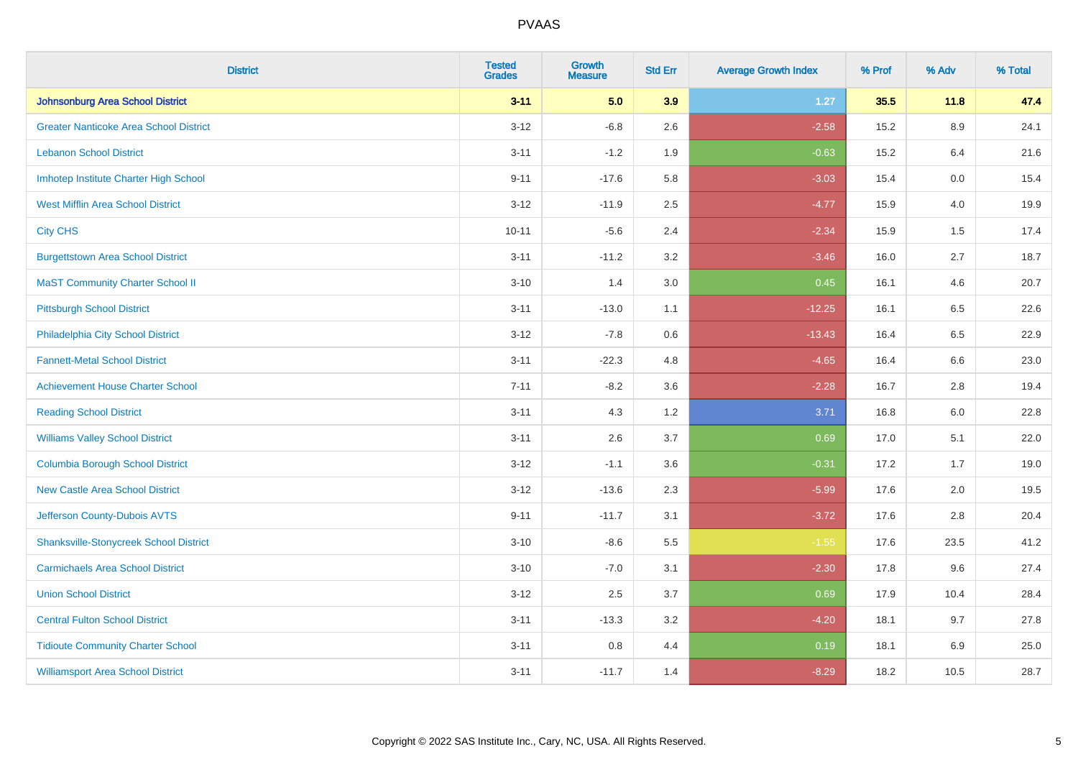| <b>District</b>                               | <b>Tested</b><br><b>Grades</b> | <b>Growth</b><br><b>Measure</b> | <b>Std Err</b> | <b>Average Growth Index</b> | % Prof | % Adv   | % Total |
|-----------------------------------------------|--------------------------------|---------------------------------|----------------|-----------------------------|--------|---------|---------|
| Johnsonburg Area School District              | $3 - 11$                       | 5.0                             | 3.9            | $1.27$                      | 35.5   | 11.8    | 47.4    |
| <b>Greater Nanticoke Area School District</b> | $3 - 12$                       | $-6.8$                          | 2.6            | $-2.58$                     | 15.2   | $8.9\,$ | 24.1    |
| <b>Lebanon School District</b>                | $3 - 11$                       | $-1.2$                          | 1.9            | $-0.63$                     | 15.2   | 6.4     | 21.6    |
| Imhotep Institute Charter High School         | $9 - 11$                       | $-17.6$                         | 5.8            | $-3.03$                     | 15.4   | 0.0     | 15.4    |
| <b>West Mifflin Area School District</b>      | $3 - 12$                       | $-11.9$                         | 2.5            | $-4.77$                     | 15.9   | 4.0     | 19.9    |
| <b>City CHS</b>                               | $10 - 11$                      | $-5.6$                          | 2.4            | $-2.34$                     | 15.9   | 1.5     | 17.4    |
| <b>Burgettstown Area School District</b>      | $3 - 11$                       | $-11.2$                         | 3.2            | $-3.46$                     | 16.0   | 2.7     | 18.7    |
| <b>MaST Community Charter School II</b>       | $3 - 10$                       | 1.4                             | 3.0            | 0.45                        | 16.1   | 4.6     | 20.7    |
| <b>Pittsburgh School District</b>             | $3 - 11$                       | $-13.0$                         | 1.1            | $-12.25$                    | 16.1   | 6.5     | 22.6    |
| Philadelphia City School District             | $3 - 12$                       | $-7.8$                          | 0.6            | $-13.43$                    | 16.4   | 6.5     | 22.9    |
| <b>Fannett-Metal School District</b>          | $3 - 11$                       | $-22.3$                         | 4.8            | $-4.65$                     | 16.4   | 6.6     | 23.0    |
| <b>Achievement House Charter School</b>       | $7 - 11$                       | $-8.2$                          | 3.6            | $-2.28$                     | 16.7   | 2.8     | 19.4    |
| <b>Reading School District</b>                | $3 - 11$                       | 4.3                             | 1.2            | 3.71                        | 16.8   | 6.0     | 22.8    |
| <b>Williams Valley School District</b>        | $3 - 11$                       | 2.6                             | 3.7            | 0.69                        | 17.0   | 5.1     | 22.0    |
| <b>Columbia Borough School District</b>       | $3 - 12$                       | $-1.1$                          | 3.6            | $-0.31$                     | 17.2   | 1.7     | 19.0    |
| <b>New Castle Area School District</b>        | $3 - 12$                       | $-13.6$                         | 2.3            | $-5.99$                     | 17.6   | 2.0     | 19.5    |
| Jefferson County-Dubois AVTS                  | $9 - 11$                       | $-11.7$                         | 3.1            | $-3.72$                     | 17.6   | 2.8     | 20.4    |
| <b>Shanksville-Stonycreek School District</b> | $3 - 10$                       | $-8.6$                          | 5.5            | $-1.55$                     | 17.6   | 23.5    | 41.2    |
| <b>Carmichaels Area School District</b>       | $3 - 10$                       | $-7.0$                          | 3.1            | $-2.30$                     | 17.8   | 9.6     | 27.4    |
| <b>Union School District</b>                  | $3 - 12$                       | 2.5                             | 3.7            | 0.69                        | 17.9   | 10.4    | 28.4    |
| <b>Central Fulton School District</b>         | $3 - 11$                       | $-13.3$                         | 3.2            | $-4.20$                     | 18.1   | 9.7     | 27.8    |
| <b>Tidioute Community Charter School</b>      | $3 - 11$                       | 0.8                             | 4.4            | 0.19                        | 18.1   | 6.9     | 25.0    |
| <b>Williamsport Area School District</b>      | $3 - 11$                       | $-11.7$                         | 1.4            | $-8.29$                     | 18.2   | 10.5    | 28.7    |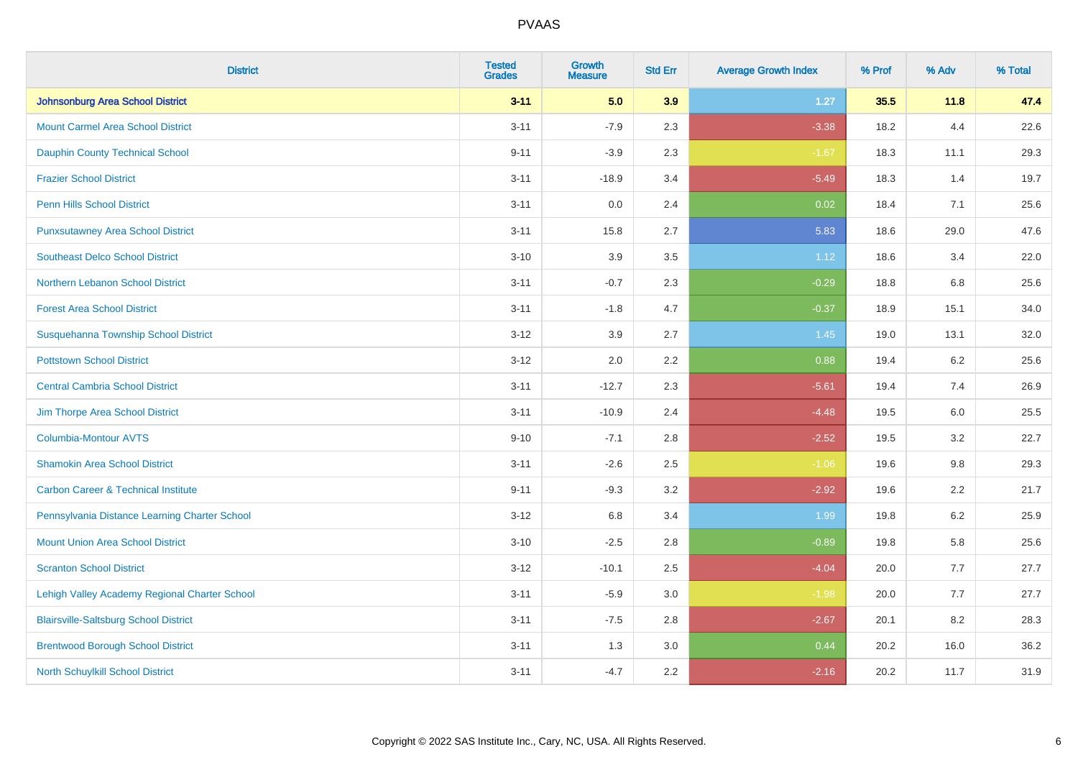| <b>District</b>                                | <b>Tested</b><br><b>Grades</b> | Growth<br><b>Measure</b> | <b>Std Err</b> | <b>Average Growth Index</b> | % Prof | % Adv   | % Total |
|------------------------------------------------|--------------------------------|--------------------------|----------------|-----------------------------|--------|---------|---------|
| <b>Johnsonburg Area School District</b>        | $3 - 11$                       | 5.0                      | 3.9            | 1.27                        | 35.5   | 11.8    | 47.4    |
| <b>Mount Carmel Area School District</b>       | $3 - 11$                       | $-7.9$                   | 2.3            | $-3.38$                     | 18.2   | 4.4     | 22.6    |
| <b>Dauphin County Technical School</b>         | $9 - 11$                       | $-3.9$                   | 2.3            | $-1.67$                     | 18.3   | 11.1    | 29.3    |
| <b>Frazier School District</b>                 | $3 - 11$                       | $-18.9$                  | 3.4            | $-5.49$                     | 18.3   | 1.4     | 19.7    |
| <b>Penn Hills School District</b>              | $3 - 11$                       | 0.0                      | 2.4            | 0.02                        | 18.4   | 7.1     | 25.6    |
| <b>Punxsutawney Area School District</b>       | $3 - 11$                       | 15.8                     | 2.7            | 5.83                        | 18.6   | 29.0    | 47.6    |
| <b>Southeast Delco School District</b>         | $3 - 10$                       | 3.9                      | 3.5            | 1.12                        | 18.6   | 3.4     | 22.0    |
| <b>Northern Lebanon School District</b>        | $3 - 11$                       | $-0.7$                   | 2.3            | $-0.29$                     | 18.8   | 6.8     | 25.6    |
| <b>Forest Area School District</b>             | $3 - 11$                       | $-1.8$                   | 4.7            | $-0.37$                     | 18.9   | 15.1    | 34.0    |
| Susquehanna Township School District           | $3 - 12$                       | 3.9                      | 2.7            | $1.45$                      | 19.0   | 13.1    | 32.0    |
| <b>Pottstown School District</b>               | $3 - 12$                       | 2.0                      | 2.2            | 0.88                        | 19.4   | 6.2     | 25.6    |
| <b>Central Cambria School District</b>         | $3 - 11$                       | $-12.7$                  | 2.3            | $-5.61$                     | 19.4   | 7.4     | 26.9    |
| Jim Thorpe Area School District                | $3 - 11$                       | $-10.9$                  | 2.4            | $-4.48$                     | 19.5   | 6.0     | 25.5    |
| <b>Columbia-Montour AVTS</b>                   | $9 - 10$                       | $-7.1$                   | 2.8            | $-2.52$                     | 19.5   | 3.2     | 22.7    |
| <b>Shamokin Area School District</b>           | $3 - 11$                       | $-2.6$                   | 2.5            | $-1.06$                     | 19.6   | 9.8     | 29.3    |
| <b>Carbon Career &amp; Technical Institute</b> | $9 - 11$                       | $-9.3$                   | 3.2            | $-2.92$                     | 19.6   | 2.2     | 21.7    |
| Pennsylvania Distance Learning Charter School  | $3 - 12$                       | 6.8                      | 3.4            | 1.99                        | 19.8   | $6.2\,$ | 25.9    |
| <b>Mount Union Area School District</b>        | $3 - 10$                       | $-2.5$                   | 2.8            | $-0.89$                     | 19.8   | 5.8     | 25.6    |
| <b>Scranton School District</b>                | $3 - 12$                       | $-10.1$                  | 2.5            | $-4.04$                     | 20.0   | 7.7     | 27.7    |
| Lehigh Valley Academy Regional Charter School  | $3 - 11$                       | $-5.9$                   | 3.0            | $-1.98$                     | 20.0   | 7.7     | 27.7    |
| <b>Blairsville-Saltsburg School District</b>   | $3 - 11$                       | $-7.5$                   | 2.8            | $-2.67$                     | 20.1   | 8.2     | 28.3    |
| <b>Brentwood Borough School District</b>       | $3 - 11$                       | 1.3                      | 3.0            | 0.44                        | 20.2   | 16.0    | 36.2    |
| North Schuylkill School District               | $3 - 11$                       | $-4.7$                   | 2.2            | $-2.16$                     | 20.2   | 11.7    | 31.9    |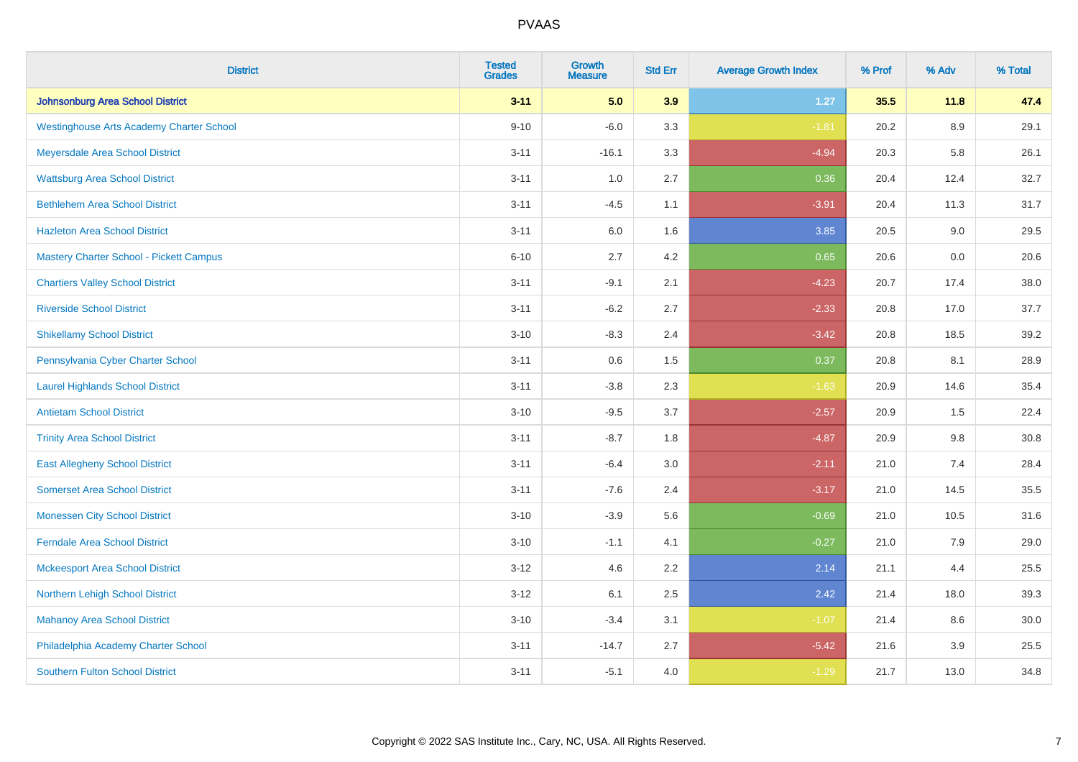| <b>District</b>                                 | <b>Tested</b><br><b>Grades</b> | <b>Growth</b><br><b>Measure</b> | <b>Std Err</b> | <b>Average Growth Index</b> | % Prof | % Adv   | % Total |
|-------------------------------------------------|--------------------------------|---------------------------------|----------------|-----------------------------|--------|---------|---------|
| Johnsonburg Area School District                | $3 - 11$                       | 5.0                             | 3.9            | $1.27$                      | 35.5   | 11.8    | 47.4    |
| <b>Westinghouse Arts Academy Charter School</b> | $9 - 10$                       | $-6.0$                          | 3.3            | $-1.81$                     | 20.2   | $8.9\,$ | 29.1    |
| Meyersdale Area School District                 | $3 - 11$                       | $-16.1$                         | 3.3            | $-4.94$                     | 20.3   | 5.8     | 26.1    |
| <b>Wattsburg Area School District</b>           | $3 - 11$                       | 1.0                             | 2.7            | 0.36                        | 20.4   | 12.4    | 32.7    |
| <b>Bethlehem Area School District</b>           | $3 - 11$                       | $-4.5$                          | 1.1            | $-3.91$                     | 20.4   | 11.3    | 31.7    |
| <b>Hazleton Area School District</b>            | $3 - 11$                       | 6.0                             | 1.6            | 3.85                        | 20.5   | 9.0     | 29.5    |
| <b>Mastery Charter School - Pickett Campus</b>  | $6 - 10$                       | 2.7                             | 4.2            | 0.65                        | 20.6   | 0.0     | 20.6    |
| <b>Chartiers Valley School District</b>         | $3 - 11$                       | $-9.1$                          | 2.1            | $-4.23$                     | 20.7   | 17.4    | 38.0    |
| <b>Riverside School District</b>                | $3 - 11$                       | $-6.2$                          | 2.7            | $-2.33$                     | 20.8   | 17.0    | 37.7    |
| <b>Shikellamy School District</b>               | $3 - 10$                       | $-8.3$                          | 2.4            | $-3.42$                     | 20.8   | 18.5    | 39.2    |
| Pennsylvania Cyber Charter School               | $3 - 11$                       | 0.6                             | 1.5            | 0.37                        | 20.8   | 8.1     | 28.9    |
| <b>Laurel Highlands School District</b>         | $3 - 11$                       | $-3.8$                          | 2.3            | $-1.63$                     | 20.9   | 14.6    | 35.4    |
| <b>Antietam School District</b>                 | $3 - 10$                       | $-9.5$                          | 3.7            | $-2.57$                     | 20.9   | 1.5     | 22.4    |
| <b>Trinity Area School District</b>             | $3 - 11$                       | $-8.7$                          | 1.8            | $-4.87$                     | 20.9   | $9.8\,$ | 30.8    |
| <b>East Allegheny School District</b>           | $3 - 11$                       | $-6.4$                          | 3.0            | $-2.11$                     | 21.0   | 7.4     | 28.4    |
| <b>Somerset Area School District</b>            | $3 - 11$                       | $-7.6$                          | 2.4            | $-3.17$                     | 21.0   | 14.5    | 35.5    |
| <b>Monessen City School District</b>            | $3 - 10$                       | $-3.9$                          | 5.6            | $-0.69$                     | 21.0   | 10.5    | 31.6    |
| <b>Ferndale Area School District</b>            | $3 - 10$                       | $-1.1$                          | 4.1            | $-0.27$                     | 21.0   | 7.9     | 29.0    |
| <b>Mckeesport Area School District</b>          | $3 - 12$                       | 4.6                             | 2.2            | 2.14                        | 21.1   | 4.4     | 25.5    |
| Northern Lehigh School District                 | $3 - 12$                       | 6.1                             | 2.5            | 2.42                        | 21.4   | 18.0    | 39.3    |
| <b>Mahanoy Area School District</b>             | $3 - 10$                       | $-3.4$                          | 3.1            | $-1.07$                     | 21.4   | 8.6     | 30.0    |
| Philadelphia Academy Charter School             | $3 - 11$                       | $-14.7$                         | 2.7            | $-5.42$                     | 21.6   | 3.9     | 25.5    |
| <b>Southern Fulton School District</b>          | $3 - 11$                       | $-5.1$                          | 4.0            | $-1.29$                     | 21.7   | 13.0    | 34.8    |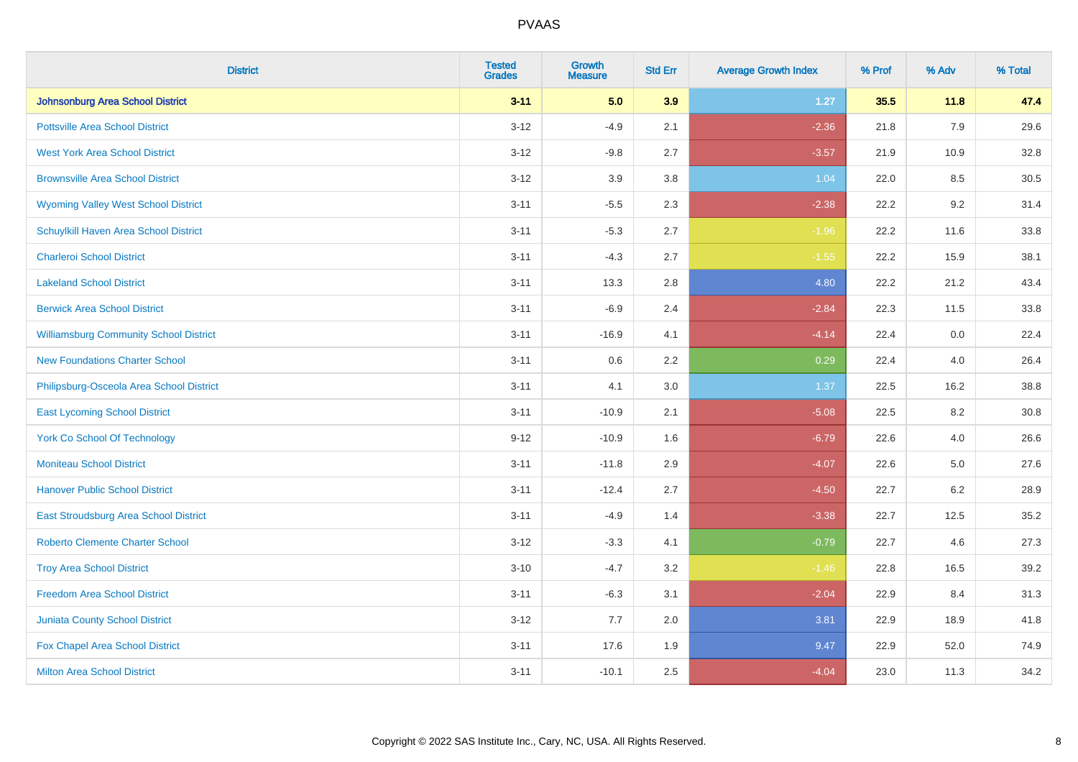| <b>District</b>                               | <b>Tested</b><br><b>Grades</b> | Growth<br><b>Measure</b> | <b>Std Err</b> | <b>Average Growth Index</b> | % Prof | % Adv   | % Total  |
|-----------------------------------------------|--------------------------------|--------------------------|----------------|-----------------------------|--------|---------|----------|
| <b>Johnsonburg Area School District</b>       | $3 - 11$                       | 5.0                      | 3.9            | $1.27$                      | 35.5   | 11.8    | 47.4     |
| <b>Pottsville Area School District</b>        | $3 - 12$                       | $-4.9$                   | 2.1            | $-2.36$                     | 21.8   | 7.9     | 29.6     |
| <b>West York Area School District</b>         | $3 - 12$                       | $-9.8$                   | 2.7            | $-3.57$                     | 21.9   | 10.9    | 32.8     |
| <b>Brownsville Area School District</b>       | $3 - 12$                       | 3.9                      | 3.8            | 1.04                        | 22.0   | 8.5     | 30.5     |
| <b>Wyoming Valley West School District</b>    | $3 - 11$                       | $-5.5$                   | 2.3            | $-2.38$                     | 22.2   | 9.2     | 31.4     |
| Schuylkill Haven Area School District         | $3 - 11$                       | $-5.3$                   | 2.7            | $-1.96$                     | 22.2   | 11.6    | 33.8     |
| <b>Charleroi School District</b>              | $3 - 11$                       | $-4.3$                   | 2.7            | $-1.55$                     | 22.2   | 15.9    | 38.1     |
| <b>Lakeland School District</b>               | $3 - 11$                       | 13.3                     | 2.8            | 4.80                        | 22.2   | 21.2    | 43.4     |
| <b>Berwick Area School District</b>           | $3 - 11$                       | $-6.9$                   | 2.4            | $-2.84$                     | 22.3   | 11.5    | 33.8     |
| <b>Williamsburg Community School District</b> | $3 - 11$                       | $-16.9$                  | 4.1            | $-4.14$                     | 22.4   | 0.0     | 22.4     |
| <b>New Foundations Charter School</b>         | $3 - 11$                       | 0.6                      | 2.2            | 0.29                        | 22.4   | 4.0     | 26.4     |
| Philipsburg-Osceola Area School District      | $3 - 11$                       | 4.1                      | 3.0            | 1.37                        | 22.5   | 16.2    | 38.8     |
| <b>East Lycoming School District</b>          | $3 - 11$                       | $-10.9$                  | 2.1            | $-5.08$                     | 22.5   | $8.2\,$ | $30.8\,$ |
| <b>York Co School Of Technology</b>           | $9 - 12$                       | $-10.9$                  | 1.6            | $-6.79$                     | 22.6   | 4.0     | 26.6     |
| <b>Moniteau School District</b>               | $3 - 11$                       | $-11.8$                  | 2.9            | $-4.07$                     | 22.6   | $5.0\,$ | 27.6     |
| <b>Hanover Public School District</b>         | $3 - 11$                       | $-12.4$                  | 2.7            | $-4.50$                     | 22.7   | $6.2\,$ | 28.9     |
| East Stroudsburg Area School District         | $3 - 11$                       | $-4.9$                   | 1.4            | $-3.38$                     | 22.7   | 12.5    | 35.2     |
| <b>Roberto Clemente Charter School</b>        | $3 - 12$                       | $-3.3$                   | 4.1            | $-0.79$                     | 22.7   | 4.6     | 27.3     |
| <b>Troy Area School District</b>              | $3 - 10$                       | $-4.7$                   | 3.2            | $-1.46$                     | 22.8   | 16.5    | 39.2     |
| <b>Freedom Area School District</b>           | $3 - 11$                       | $-6.3$                   | 3.1            | $-2.04$                     | 22.9   | 8.4     | 31.3     |
| <b>Juniata County School District</b>         | $3 - 12$                       | 7.7                      | 2.0            | 3.81                        | 22.9   | 18.9    | 41.8     |
| Fox Chapel Area School District               | $3 - 11$                       | 17.6                     | 1.9            | 9.47                        | 22.9   | 52.0    | 74.9     |
| <b>Milton Area School District</b>            | $3 - 11$                       | $-10.1$                  | 2.5            | $-4.04$                     | 23.0   | 11.3    | 34.2     |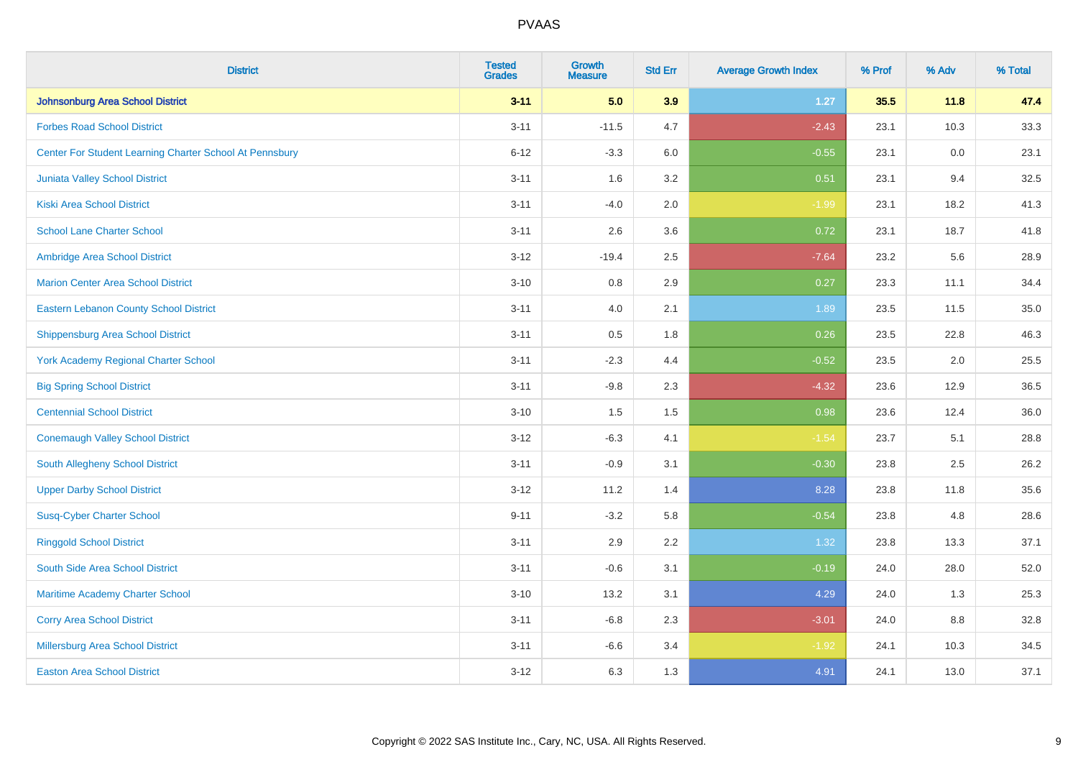| <b>District</b>                                         | <b>Tested</b><br><b>Grades</b> | <b>Growth</b><br><b>Measure</b> | <b>Std Err</b> | <b>Average Growth Index</b> | % Prof | % Adv | % Total |
|---------------------------------------------------------|--------------------------------|---------------------------------|----------------|-----------------------------|--------|-------|---------|
| Johnsonburg Area School District                        | $3 - 11$                       | 5.0                             | 3.9            | $1.27$                      | 35.5   | 11.8  | 47.4    |
| <b>Forbes Road School District</b>                      | $3 - 11$                       | $-11.5$                         | 4.7            | $-2.43$                     | 23.1   | 10.3  | 33.3    |
| Center For Student Learning Charter School At Pennsbury | $6 - 12$                       | $-3.3$                          | 6.0            | $-0.55$                     | 23.1   | 0.0   | 23.1    |
| Juniata Valley School District                          | $3 - 11$                       | 1.6                             | 3.2            | 0.51                        | 23.1   | 9.4   | 32.5    |
| Kiski Area School District                              | $3 - 11$                       | $-4.0$                          | 2.0            | $-1.99$                     | 23.1   | 18.2  | 41.3    |
| <b>School Lane Charter School</b>                       | $3 - 11$                       | 2.6                             | 3.6            | 0.72                        | 23.1   | 18.7  | 41.8    |
| Ambridge Area School District                           | $3 - 12$                       | $-19.4$                         | 2.5            | $-7.64$                     | 23.2   | 5.6   | 28.9    |
| <b>Marion Center Area School District</b>               | $3 - 10$                       | 0.8                             | 2.9            | 0.27                        | 23.3   | 11.1  | 34.4    |
| <b>Eastern Lebanon County School District</b>           | $3 - 11$                       | 4.0                             | 2.1            | 1.89                        | 23.5   | 11.5  | 35.0    |
| Shippensburg Area School District                       | $3 - 11$                       | 0.5                             | 1.8            | 0.26                        | 23.5   | 22.8  | 46.3    |
| <b>York Academy Regional Charter School</b>             | $3 - 11$                       | $-2.3$                          | 4.4            | $-0.52$                     | 23.5   | 2.0   | 25.5    |
| <b>Big Spring School District</b>                       | $3 - 11$                       | $-9.8$                          | 2.3            | $-4.32$                     | 23.6   | 12.9  | 36.5    |
| <b>Centennial School District</b>                       | $3 - 10$                       | 1.5                             | $1.5$          | 0.98                        | 23.6   | 12.4  | 36.0    |
| <b>Conemaugh Valley School District</b>                 | $3 - 12$                       | $-6.3$                          | 4.1            | $-1.54$                     | 23.7   | 5.1   | 28.8    |
| South Allegheny School District                         | $3 - 11$                       | $-0.9$                          | 3.1            | $-0.30$                     | 23.8   | 2.5   | 26.2    |
| <b>Upper Darby School District</b>                      | $3 - 12$                       | 11.2                            | 1.4            | 8.28                        | 23.8   | 11.8  | 35.6    |
| <b>Susq-Cyber Charter School</b>                        | $9 - 11$                       | $-3.2$                          | 5.8            | $-0.54$                     | 23.8   | 4.8   | 28.6    |
| <b>Ringgold School District</b>                         | $3 - 11$                       | 2.9                             | 2.2            | 1.32                        | 23.8   | 13.3  | 37.1    |
| South Side Area School District                         | $3 - 11$                       | $-0.6$                          | 3.1            | $-0.19$                     | 24.0   | 28.0  | 52.0    |
| Maritime Academy Charter School                         | $3 - 10$                       | 13.2                            | 3.1            | 4.29                        | 24.0   | 1.3   | 25.3    |
| <b>Corry Area School District</b>                       | $3 - 11$                       | $-6.8$                          | 2.3            | $-3.01$                     | 24.0   | 8.8   | 32.8    |
| <b>Millersburg Area School District</b>                 | $3 - 11$                       | $-6.6$                          | 3.4            | $-1.92$                     | 24.1   | 10.3  | 34.5    |
| <b>Easton Area School District</b>                      | $3 - 12$                       | 6.3                             | 1.3            | 4.91                        | 24.1   | 13.0  | 37.1    |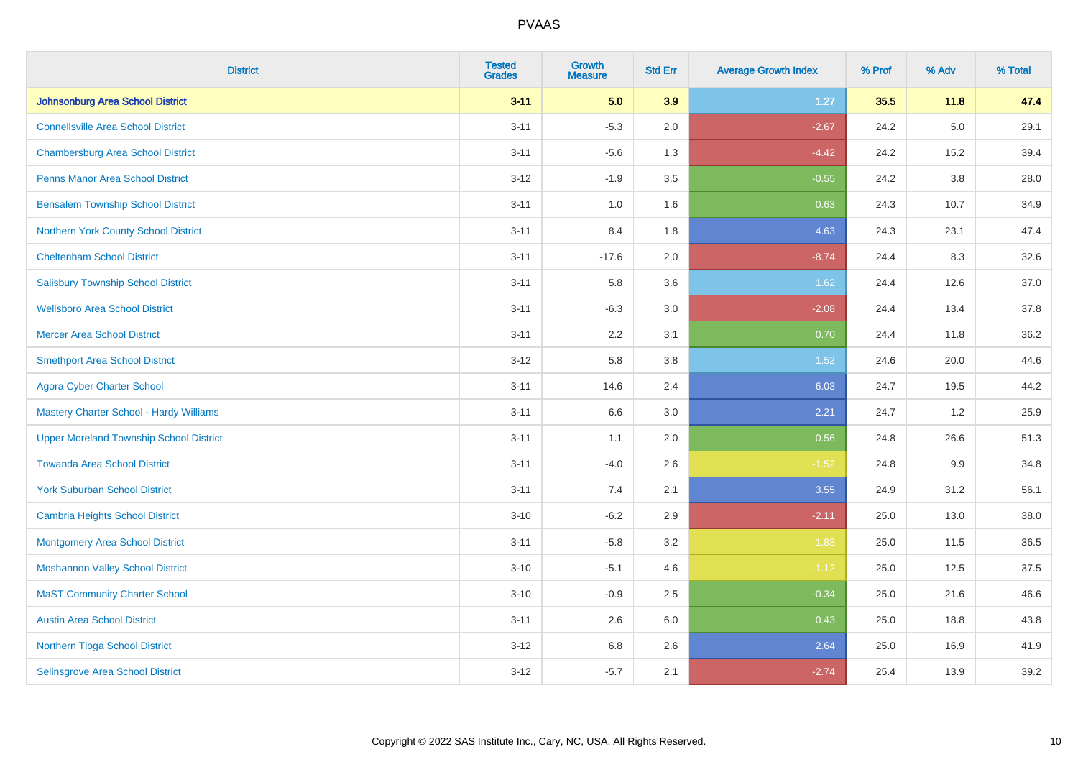| <b>District</b>                                | <b>Tested</b><br><b>Grades</b> | Growth<br><b>Measure</b> | <b>Std Err</b> | <b>Average Growth Index</b> | % Prof | % Adv   | % Total |
|------------------------------------------------|--------------------------------|--------------------------|----------------|-----------------------------|--------|---------|---------|
| <b>Johnsonburg Area School District</b>        | $3 - 11$                       | 5.0                      | 3.9            | $1.27$                      | 35.5   | 11.8    | 47.4    |
| <b>Connellsville Area School District</b>      | $3 - 11$                       | $-5.3$                   | 2.0            | $-2.67$                     | 24.2   | $5.0\,$ | 29.1    |
| <b>Chambersburg Area School District</b>       | $3 - 11$                       | $-5.6$                   | 1.3            | $-4.42$                     | 24.2   | 15.2    | 39.4    |
| <b>Penns Manor Area School District</b>        | $3 - 12$                       | $-1.9$                   | 3.5            | $-0.55$                     | 24.2   | 3.8     | 28.0    |
| <b>Bensalem Township School District</b>       | $3 - 11$                       | 1.0                      | 1.6            | 0.63                        | 24.3   | 10.7    | 34.9    |
| Northern York County School District           | $3 - 11$                       | 8.4                      | 1.8            | 4.63                        | 24.3   | 23.1    | 47.4    |
| <b>Cheltenham School District</b>              | $3 - 11$                       | $-17.6$                  | 2.0            | $-8.74$                     | 24.4   | 8.3     | 32.6    |
| <b>Salisbury Township School District</b>      | $3 - 11$                       | 5.8                      | 3.6            | 1.62                        | 24.4   | 12.6    | 37.0    |
| <b>Wellsboro Area School District</b>          | $3 - 11$                       | $-6.3$                   | 3.0            | $-2.08$                     | 24.4   | 13.4    | 37.8    |
| <b>Mercer Area School District</b>             | $3 - 11$                       | 2.2                      | 3.1            | 0.70                        | 24.4   | 11.8    | 36.2    |
| <b>Smethport Area School District</b>          | $3 - 12$                       | 5.8                      | 3.8            | 1.52                        | 24.6   | 20.0    | 44.6    |
| <b>Agora Cyber Charter School</b>              | $3 - 11$                       | 14.6                     | 2.4            | 6.03                        | 24.7   | 19.5    | 44.2    |
| Mastery Charter School - Hardy Williams        | $3 - 11$                       | 6.6                      | 3.0            | 2.21                        | 24.7   | 1.2     | 25.9    |
| <b>Upper Moreland Township School District</b> | $3 - 11$                       | 1.1                      | 2.0            | 0.56                        | 24.8   | 26.6    | 51.3    |
| <b>Towanda Area School District</b>            | $3 - 11$                       | $-4.0$                   | 2.6            | $-1.52$                     | 24.8   | 9.9     | 34.8    |
| <b>York Suburban School District</b>           | $3 - 11$                       | $7.4$                    | 2.1            | 3.55                        | 24.9   | 31.2    | 56.1    |
| Cambria Heights School District                | $3 - 10$                       | $-6.2$                   | 2.9            | $-2.11$                     | 25.0   | 13.0    | 38.0    |
| <b>Montgomery Area School District</b>         | $3 - 11$                       | $-5.8$                   | 3.2            | $-1.83$                     | 25.0   | 11.5    | 36.5    |
| <b>Moshannon Valley School District</b>        | $3 - 10$                       | $-5.1$                   | 4.6            | $-1.12$                     | 25.0   | 12.5    | 37.5    |
| <b>MaST Community Charter School</b>           | $3 - 10$                       | $-0.9$                   | 2.5            | $-0.34$                     | 25.0   | 21.6    | 46.6    |
| <b>Austin Area School District</b>             | $3 - 11$                       | 2.6                      | 6.0            | 0.43                        | 25.0   | 18.8    | 43.8    |
| Northern Tioga School District                 | $3 - 12$                       | 6.8                      | 2.6            | 2.64                        | 25.0   | 16.9    | 41.9    |
| Selinsgrove Area School District               | $3 - 12$                       | $-5.7$                   | 2.1            | $-2.74$                     | 25.4   | 13.9    | 39.2    |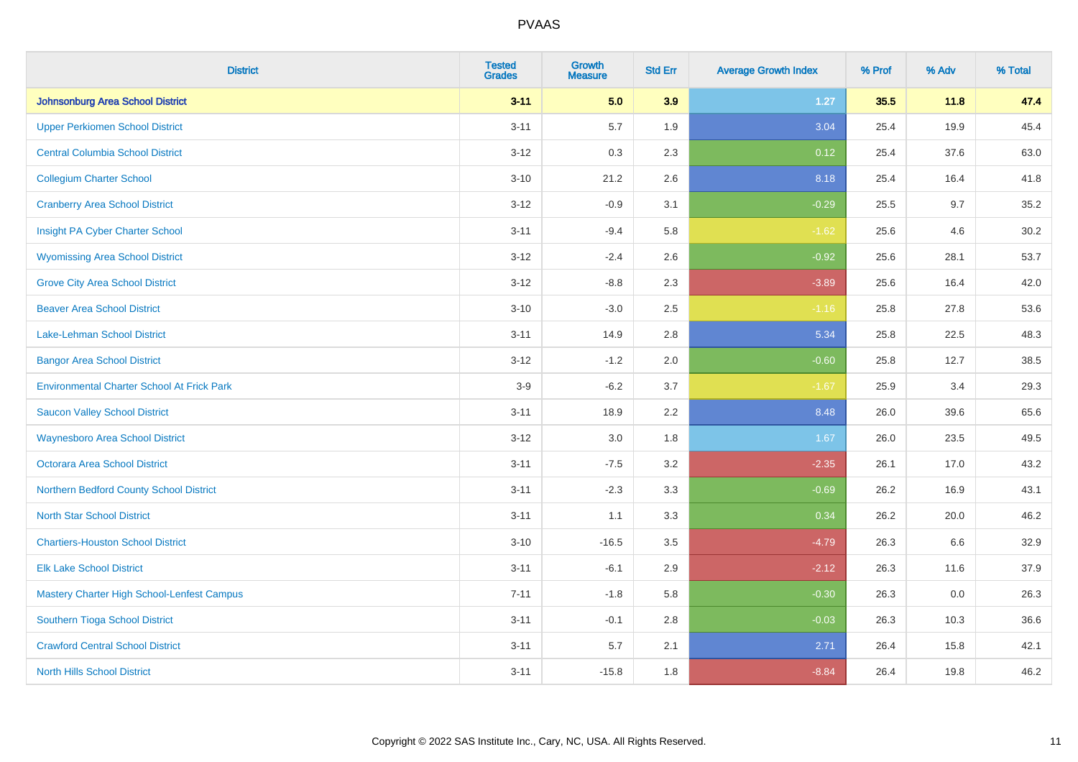| <b>District</b>                                   | <b>Tested</b><br><b>Grades</b> | <b>Growth</b><br><b>Measure</b> | <b>Std Err</b> | <b>Average Growth Index</b> | % Prof | % Adv | % Total |
|---------------------------------------------------|--------------------------------|---------------------------------|----------------|-----------------------------|--------|-------|---------|
| Johnsonburg Area School District                  | $3 - 11$                       | 5.0                             | 3.9            | 1.27                        | 35.5   | 11.8  | 47.4    |
| <b>Upper Perkiomen School District</b>            | $3 - 11$                       | 5.7                             | 1.9            | 3.04                        | 25.4   | 19.9  | 45.4    |
| <b>Central Columbia School District</b>           | $3 - 12$                       | 0.3                             | 2.3            | 0.12                        | 25.4   | 37.6  | 63.0    |
| <b>Collegium Charter School</b>                   | $3 - 10$                       | 21.2                            | 2.6            | 8.18                        | 25.4   | 16.4  | 41.8    |
| <b>Cranberry Area School District</b>             | $3 - 12$                       | $-0.9$                          | 3.1            | $-0.29$                     | 25.5   | 9.7   | 35.2    |
| Insight PA Cyber Charter School                   | $3 - 11$                       | $-9.4$                          | 5.8            | $-1.62$                     | 25.6   | 4.6   | 30.2    |
| <b>Wyomissing Area School District</b>            | $3-12$                         | $-2.4$                          | 2.6            | $-0.92$                     | 25.6   | 28.1  | 53.7    |
| <b>Grove City Area School District</b>            | $3 - 12$                       | $-8.8$                          | 2.3            | $-3.89$                     | 25.6   | 16.4  | 42.0    |
| <b>Beaver Area School District</b>                | $3 - 10$                       | $-3.0$                          | 2.5            | $-1.16$                     | 25.8   | 27.8  | 53.6    |
| Lake-Lehman School District                       | $3 - 11$                       | 14.9                            | 2.8            | 5.34                        | 25.8   | 22.5  | 48.3    |
| <b>Bangor Area School District</b>                | $3 - 12$                       | $-1.2$                          | 2.0            | $-0.60$                     | 25.8   | 12.7  | 38.5    |
| <b>Environmental Charter School At Frick Park</b> | $3-9$                          | $-6.2$                          | 3.7            | $-1.67$                     | 25.9   | 3.4   | 29.3    |
| <b>Saucon Valley School District</b>              | $3 - 11$                       | 18.9                            | 2.2            | 8.48                        | 26.0   | 39.6  | 65.6    |
| <b>Waynesboro Area School District</b>            | $3 - 12$                       | 3.0                             | 1.8            | 1.67                        | 26.0   | 23.5  | 49.5    |
| Octorara Area School District                     | $3 - 11$                       | $-7.5$                          | 3.2            | $-2.35$                     | 26.1   | 17.0  | 43.2    |
| Northern Bedford County School District           | $3 - 11$                       | $-2.3$                          | 3.3            | $-0.69$                     | 26.2   | 16.9  | 43.1    |
| <b>North Star School District</b>                 | $3 - 11$                       | 1.1                             | 3.3            | 0.34                        | 26.2   | 20.0  | 46.2    |
| <b>Chartiers-Houston School District</b>          | $3 - 10$                       | $-16.5$                         | 3.5            | $-4.79$                     | 26.3   | 6.6   | 32.9    |
| <b>Elk Lake School District</b>                   | $3 - 11$                       | $-6.1$                          | 2.9            | $-2.12$                     | 26.3   | 11.6  | 37.9    |
| Mastery Charter High School-Lenfest Campus        | $7 - 11$                       | $-1.8$                          | 5.8            | $-0.30$                     | 26.3   | 0.0   | 26.3    |
| Southern Tioga School District                    | $3 - 11$                       | $-0.1$                          | 2.8            | $-0.03$                     | 26.3   | 10.3  | 36.6    |
| <b>Crawford Central School District</b>           | $3 - 11$                       | 5.7                             | 2.1            | 2.71                        | 26.4   | 15.8  | 42.1    |
| <b>North Hills School District</b>                | $3 - 11$                       | $-15.8$                         | 1.8            | $-8.84$                     | 26.4   | 19.8  | 46.2    |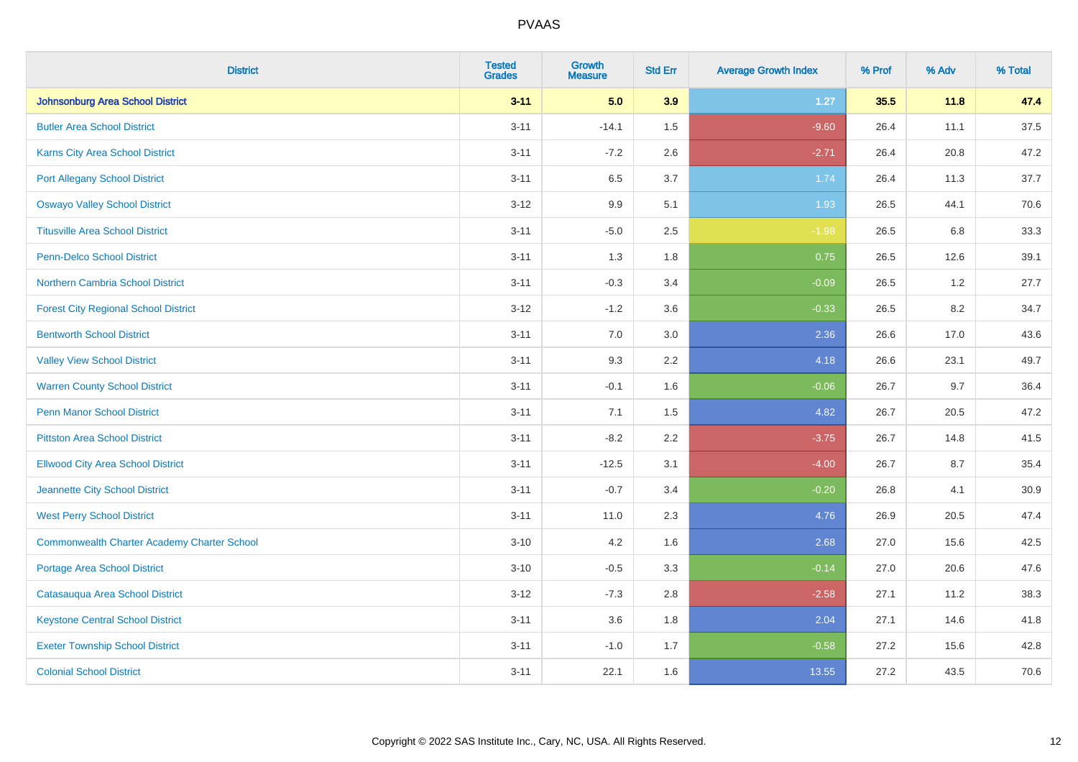| <b>District</b>                                    | <b>Tested</b><br><b>Grades</b> | <b>Growth</b><br><b>Measure</b> | <b>Std Err</b> | <b>Average Growth Index</b> | % Prof | % Adv   | % Total |
|----------------------------------------------------|--------------------------------|---------------------------------|----------------|-----------------------------|--------|---------|---------|
| Johnsonburg Area School District                   | $3 - 11$                       | 5.0                             | 3.9            | 1.27                        | 35.5   | 11.8    | 47.4    |
| <b>Butler Area School District</b>                 | $3 - 11$                       | $-14.1$                         | 1.5            | $-9.60$                     | 26.4   | 11.1    | 37.5    |
| Karns City Area School District                    | $3 - 11$                       | $-7.2$                          | 2.6            | $-2.71$                     | 26.4   | 20.8    | 47.2    |
| <b>Port Allegany School District</b>               | $3 - 11$                       | 6.5                             | 3.7            | 1.74                        | 26.4   | 11.3    | 37.7    |
| <b>Oswayo Valley School District</b>               | $3 - 12$                       | 9.9                             | 5.1            | 1.93                        | 26.5   | 44.1    | 70.6    |
| <b>Titusville Area School District</b>             | $3 - 11$                       | $-5.0$                          | 2.5            | $-1.98$                     | 26.5   | $6.8\,$ | 33.3    |
| <b>Penn-Delco School District</b>                  | $3 - 11$                       | 1.3                             | 1.8            | 0.75                        | 26.5   | 12.6    | 39.1    |
| <b>Northern Cambria School District</b>            | $3 - 11$                       | $-0.3$                          | 3.4            | $-0.09$                     | 26.5   | 1.2     | 27.7    |
| <b>Forest City Regional School District</b>        | $3-12$                         | $-1.2$                          | 3.6            | $-0.33$                     | 26.5   | 8.2     | 34.7    |
| <b>Bentworth School District</b>                   | $3 - 11$                       | 7.0                             | 3.0            | 2.36                        | 26.6   | 17.0    | 43.6    |
| <b>Valley View School District</b>                 | $3 - 11$                       | 9.3                             | 2.2            | 4.18                        | 26.6   | 23.1    | 49.7    |
| <b>Warren County School District</b>               | $3 - 11$                       | $-0.1$                          | 1.6            | $-0.06$                     | 26.7   | 9.7     | 36.4    |
| Penn Manor School District                         | $3 - 11$                       | 7.1                             | 1.5            | 4.82                        | 26.7   | 20.5    | 47.2    |
| <b>Pittston Area School District</b>               | $3 - 11$                       | $-8.2$                          | 2.2            | $-3.75$                     | 26.7   | 14.8    | 41.5    |
| <b>Ellwood City Area School District</b>           | $3 - 11$                       | $-12.5$                         | 3.1            | $-4.00$                     | 26.7   | 8.7     | 35.4    |
| Jeannette City School District                     | $3 - 11$                       | $-0.7$                          | 3.4            | $-0.20$                     | 26.8   | 4.1     | 30.9    |
| <b>West Perry School District</b>                  | $3 - 11$                       | 11.0                            | 2.3            | 4.76                        | 26.9   | 20.5    | 47.4    |
| <b>Commonwealth Charter Academy Charter School</b> | $3 - 10$                       | 4.2                             | 1.6            | 2.68                        | 27.0   | 15.6    | 42.5    |
| Portage Area School District                       | $3 - 10$                       | $-0.5$                          | 3.3            | $-0.14$                     | 27.0   | 20.6    | 47.6    |
| Catasauqua Area School District                    | $3 - 12$                       | $-7.3$                          | 2.8            | $-2.58$                     | 27.1   | 11.2    | 38.3    |
| <b>Keystone Central School District</b>            | $3 - 11$                       | 3.6                             | 1.8            | 2.04                        | 27.1   | 14.6    | 41.8    |
| <b>Exeter Township School District</b>             | $3 - 11$                       | $-1.0$                          | 1.7            | $-0.58$                     | 27.2   | 15.6    | 42.8    |
| <b>Colonial School District</b>                    | $3 - 11$                       | 22.1                            | 1.6            | 13.55                       | 27.2   | 43.5    | 70.6    |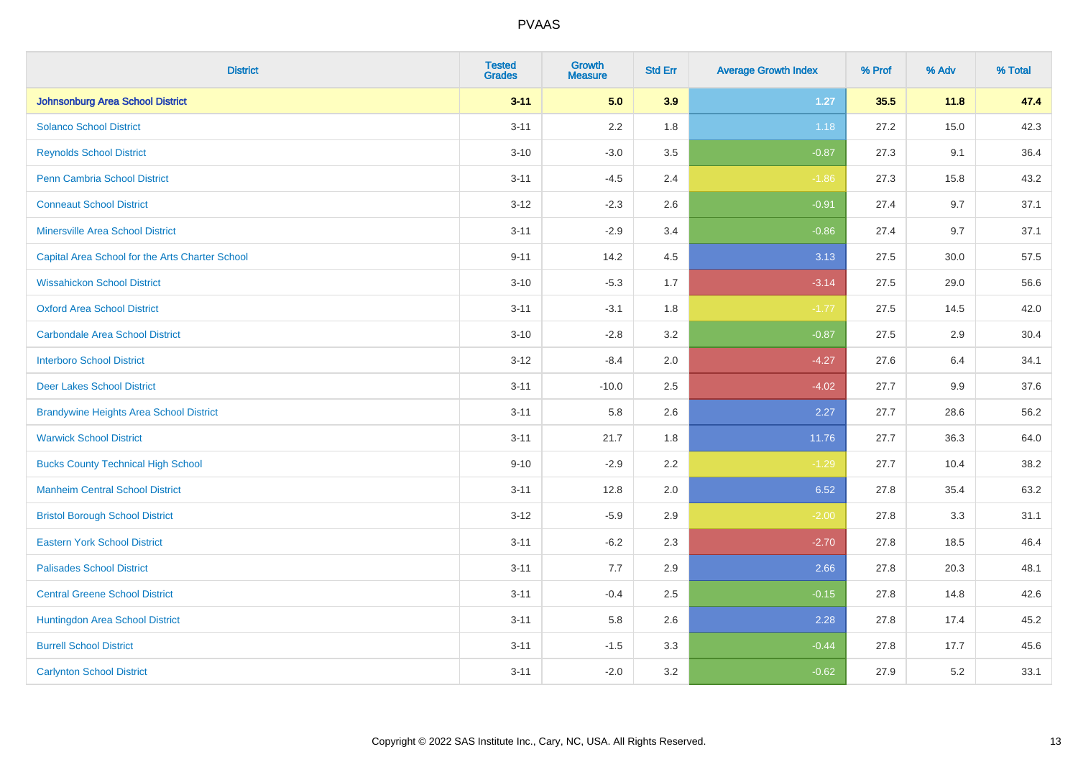| <b>District</b>                                 | <b>Tested</b><br><b>Grades</b> | Growth<br><b>Measure</b> | <b>Std Err</b> | <b>Average Growth Index</b> | % Prof | % Adv | % Total |
|-------------------------------------------------|--------------------------------|--------------------------|----------------|-----------------------------|--------|-------|---------|
| <b>Johnsonburg Area School District</b>         | $3 - 11$                       | 5.0                      | 3.9            | $1.27$                      | 35.5   | 11.8  | 47.4    |
| <b>Solanco School District</b>                  | $3 - 11$                       | 2.2                      | 1.8            | 1.18                        | 27.2   | 15.0  | 42.3    |
| <b>Reynolds School District</b>                 | $3 - 10$                       | $-3.0$                   | 3.5            | $-0.87$                     | 27.3   | 9.1   | 36.4    |
| <b>Penn Cambria School District</b>             | $3 - 11$                       | $-4.5$                   | 2.4            | $-1.86$                     | 27.3   | 15.8  | 43.2    |
| <b>Conneaut School District</b>                 | $3 - 12$                       | $-2.3$                   | 2.6            | $-0.91$                     | 27.4   | 9.7   | 37.1    |
| <b>Minersville Area School District</b>         | $3 - 11$                       | $-2.9$                   | 3.4            | $-0.86$                     | 27.4   | 9.7   | 37.1    |
| Capital Area School for the Arts Charter School | $9 - 11$                       | 14.2                     | 4.5            | 3.13                        | 27.5   | 30.0  | 57.5    |
| <b>Wissahickon School District</b>              | $3 - 10$                       | $-5.3$                   | 1.7            | $-3.14$                     | 27.5   | 29.0  | 56.6    |
| <b>Oxford Area School District</b>              | $3 - 11$                       | $-3.1$                   | 1.8            | $-1.77$                     | 27.5   | 14.5  | 42.0    |
| <b>Carbondale Area School District</b>          | $3 - 10$                       | $-2.8$                   | 3.2            | $-0.87$                     | 27.5   | 2.9   | 30.4    |
| <b>Interboro School District</b>                | $3 - 12$                       | $-8.4$                   | 2.0            | $-4.27$                     | 27.6   | 6.4   | 34.1    |
| <b>Deer Lakes School District</b>               | $3 - 11$                       | $-10.0$                  | 2.5            | $-4.02$                     | 27.7   | 9.9   | 37.6    |
| <b>Brandywine Heights Area School District</b>  | $3 - 11$                       | 5.8                      | 2.6            | 2.27                        | 27.7   | 28.6  | 56.2    |
| <b>Warwick School District</b>                  | $3 - 11$                       | 21.7                     | 1.8            | 11.76                       | 27.7   | 36.3  | 64.0    |
| <b>Bucks County Technical High School</b>       | $9 - 10$                       | $-2.9$                   | 2.2            | $-1.29$                     | 27.7   | 10.4  | 38.2    |
| <b>Manheim Central School District</b>          | $3 - 11$                       | 12.8                     | 2.0            | 6.52                        | 27.8   | 35.4  | 63.2    |
| <b>Bristol Borough School District</b>          | $3 - 12$                       | $-5.9$                   | 2.9            | $-2.00$                     | 27.8   | 3.3   | 31.1    |
| <b>Eastern York School District</b>             | $3 - 11$                       | $-6.2$                   | 2.3            | $-2.70$                     | 27.8   | 18.5  | 46.4    |
| <b>Palisades School District</b>                | $3 - 11$                       | 7.7                      | 2.9            | 2.66                        | 27.8   | 20.3  | 48.1    |
| <b>Central Greene School District</b>           | $3 - 11$                       | $-0.4$                   | 2.5            | $-0.15$                     | 27.8   | 14.8  | 42.6    |
| Huntingdon Area School District                 | $3 - 11$                       | 5.8                      | 2.6            | 2.28                        | 27.8   | 17.4  | 45.2    |
| <b>Burrell School District</b>                  | $3 - 11$                       | $-1.5$                   | 3.3            | $-0.44$                     | 27.8   | 17.7  | 45.6    |
| <b>Carlynton School District</b>                | $3 - 11$                       | $-2.0$                   | 3.2            | $-0.62$                     | 27.9   | 5.2   | 33.1    |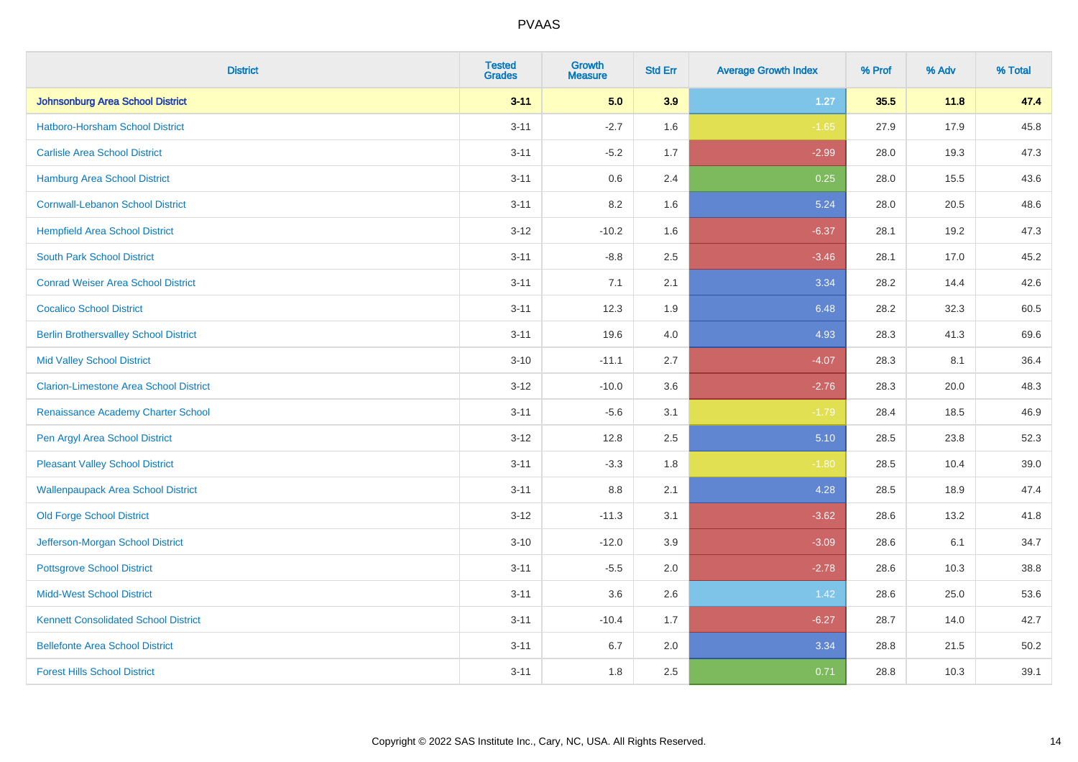| <b>District</b>                               | <b>Tested</b><br><b>Grades</b> | <b>Growth</b><br><b>Measure</b> | <b>Std Err</b> | <b>Average Growth Index</b> | % Prof | % Adv | % Total |
|-----------------------------------------------|--------------------------------|---------------------------------|----------------|-----------------------------|--------|-------|---------|
| Johnsonburg Area School District              | $3 - 11$                       | 5.0                             | 3.9            | $1.27$                      | 35.5   | 11.8  | 47.4    |
| Hatboro-Horsham School District               | $3 - 11$                       | $-2.7$                          | 1.6            | $-1.65$                     | 27.9   | 17.9  | 45.8    |
| <b>Carlisle Area School District</b>          | $3 - 11$                       | $-5.2$                          | 1.7            | $-2.99$                     | 28.0   | 19.3  | 47.3    |
| Hamburg Area School District                  | $3 - 11$                       | $0.6\,$                         | 2.4            | 0.25                        | 28.0   | 15.5  | 43.6    |
| <b>Cornwall-Lebanon School District</b>       | $3 - 11$                       | 8.2                             | 1.6            | 5.24                        | 28.0   | 20.5  | 48.6    |
| <b>Hempfield Area School District</b>         | $3-12$                         | $-10.2$                         | 1.6            | $-6.37$                     | 28.1   | 19.2  | 47.3    |
| <b>South Park School District</b>             | $3 - 11$                       | $-8.8$                          | 2.5            | $-3.46$                     | 28.1   | 17.0  | 45.2    |
| <b>Conrad Weiser Area School District</b>     | $3 - 11$                       | 7.1                             | 2.1            | 3.34                        | 28.2   | 14.4  | 42.6    |
| <b>Cocalico School District</b>               | $3 - 11$                       | 12.3                            | 1.9            | 6.48                        | 28.2   | 32.3  | 60.5    |
| <b>Berlin Brothersvalley School District</b>  | $3 - 11$                       | 19.6                            | 4.0            | 4.93                        | 28.3   | 41.3  | 69.6    |
| <b>Mid Valley School District</b>             | $3 - 10$                       | $-11.1$                         | 2.7            | $-4.07$                     | 28.3   | 8.1   | 36.4    |
| <b>Clarion-Limestone Area School District</b> | $3 - 12$                       | $-10.0$                         | 3.6            | $-2.76$                     | 28.3   | 20.0  | 48.3    |
| Renaissance Academy Charter School            | $3 - 11$                       | $-5.6$                          | 3.1            | $-1.79$                     | 28.4   | 18.5  | 46.9    |
| Pen Argyl Area School District                | $3 - 12$                       | 12.8                            | 2.5            | 5.10                        | 28.5   | 23.8  | 52.3    |
| <b>Pleasant Valley School District</b>        | $3 - 11$                       | $-3.3$                          | 1.8            | $-1.80$                     | 28.5   | 10.4  | 39.0    |
| <b>Wallenpaupack Area School District</b>     | $3 - 11$                       | 8.8                             | 2.1            | 4.28                        | 28.5   | 18.9  | 47.4    |
| <b>Old Forge School District</b>              | $3-12$                         | $-11.3$                         | 3.1            | $-3.62$                     | 28.6   | 13.2  | 41.8    |
| Jefferson-Morgan School District              | $3 - 10$                       | $-12.0$                         | 3.9            | $-3.09$                     | 28.6   | 6.1   | 34.7    |
| <b>Pottsgrove School District</b>             | $3 - 11$                       | $-5.5$                          | 2.0            | $-2.78$                     | 28.6   | 10.3  | 38.8    |
| <b>Midd-West School District</b>              | $3 - 11$                       | 3.6                             | 2.6            | 1.42                        | 28.6   | 25.0  | 53.6    |
| <b>Kennett Consolidated School District</b>   | $3 - 11$                       | $-10.4$                         | 1.7            | $-6.27$                     | 28.7   | 14.0  | 42.7    |
| <b>Bellefonte Area School District</b>        | $3 - 11$                       | 6.7                             | 2.0            | 3.34                        | 28.8   | 21.5  | 50.2    |
| <b>Forest Hills School District</b>           | $3 - 11$                       | 1.8                             | 2.5            | 0.71                        | 28.8   | 10.3  | 39.1    |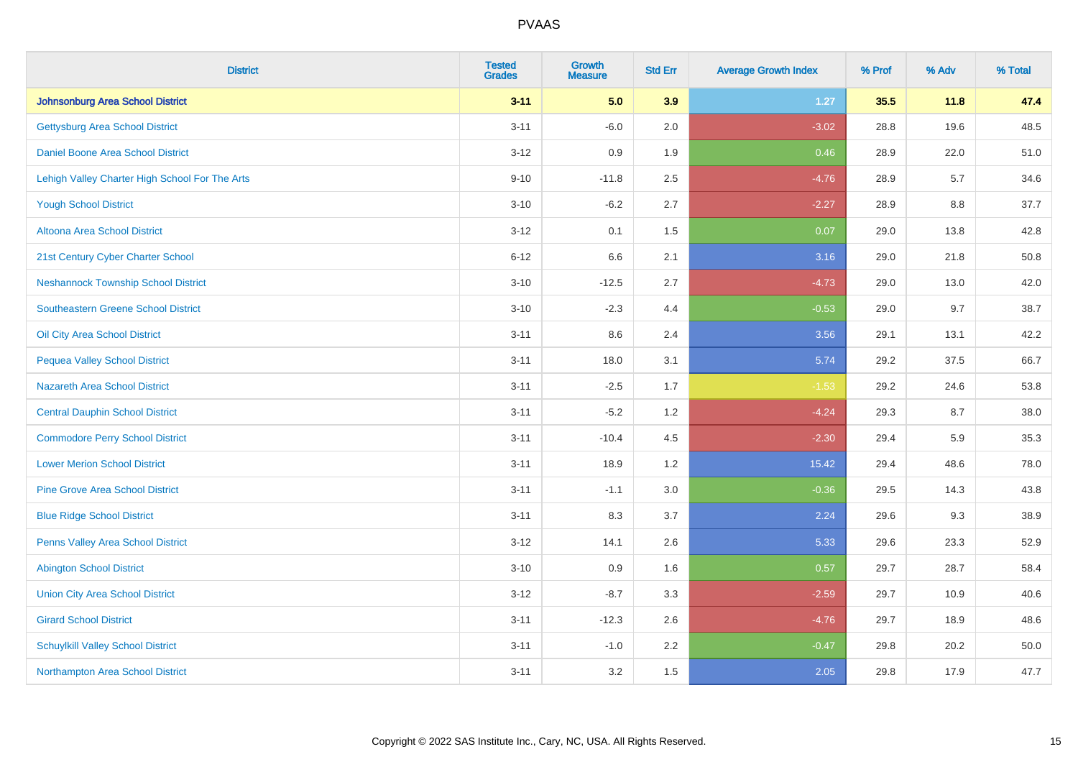| <b>District</b>                                | <b>Tested</b><br><b>Grades</b> | <b>Growth</b><br><b>Measure</b> | <b>Std Err</b> | <b>Average Growth Index</b> | % Prof | % Adv | % Total |
|------------------------------------------------|--------------------------------|---------------------------------|----------------|-----------------------------|--------|-------|---------|
| Johnsonburg Area School District               | $3 - 11$                       | 5.0                             | 3.9            | $1.27$                      | 35.5   | 11.8  | 47.4    |
| <b>Gettysburg Area School District</b>         | $3 - 11$                       | $-6.0$                          | 2.0            | $-3.02$                     | 28.8   | 19.6  | 48.5    |
| Daniel Boone Area School District              | $3 - 12$                       | 0.9                             | 1.9            | 0.46                        | 28.9   | 22.0  | 51.0    |
| Lehigh Valley Charter High School For The Arts | $9 - 10$                       | $-11.8$                         | 2.5            | $-4.76$                     | 28.9   | 5.7   | 34.6    |
| <b>Yough School District</b>                   | $3 - 10$                       | $-6.2$                          | 2.7            | $-2.27$                     | 28.9   | 8.8   | 37.7    |
| Altoona Area School District                   | $3 - 12$                       | 0.1                             | 1.5            | 0.07                        | 29.0   | 13.8  | 42.8    |
| 21st Century Cyber Charter School              | $6 - 12$                       | 6.6                             | 2.1            | 3.16                        | 29.0   | 21.8  | 50.8    |
| <b>Neshannock Township School District</b>     | $3 - 10$                       | $-12.5$                         | 2.7            | $-4.73$                     | 29.0   | 13.0  | 42.0    |
| Southeastern Greene School District            | $3 - 10$                       | $-2.3$                          | 4.4            | $-0.53$                     | 29.0   | 9.7   | 38.7    |
| Oil City Area School District                  | $3 - 11$                       | 8.6                             | 2.4            | 3.56                        | 29.1   | 13.1  | 42.2    |
| <b>Pequea Valley School District</b>           | $3 - 11$                       | 18.0                            | 3.1            | 5.74                        | 29.2   | 37.5  | 66.7    |
| <b>Nazareth Area School District</b>           | $3 - 11$                       | $-2.5$                          | 1.7            | $-1.53$                     | 29.2   | 24.6  | 53.8    |
| <b>Central Dauphin School District</b>         | $3 - 11$                       | $-5.2$                          | 1.2            | $-4.24$                     | 29.3   | 8.7   | 38.0    |
| <b>Commodore Perry School District</b>         | $3 - 11$                       | $-10.4$                         | 4.5            | $-2.30$                     | 29.4   | 5.9   | 35.3    |
| <b>Lower Merion School District</b>            | $3 - 11$                       | 18.9                            | 1.2            | 15.42                       | 29.4   | 48.6  | 78.0    |
| <b>Pine Grove Area School District</b>         | $3 - 11$                       | $-1.1$                          | 3.0            | $-0.36$                     | 29.5   | 14.3  | 43.8    |
| <b>Blue Ridge School District</b>              | $3 - 11$                       | 8.3                             | 3.7            | 2.24                        | 29.6   | 9.3   | 38.9    |
| Penns Valley Area School District              | $3 - 12$                       | 14.1                            | 2.6            | 5.33                        | 29.6   | 23.3  | 52.9    |
| <b>Abington School District</b>                | $3 - 10$                       | 0.9                             | 1.6            | 0.57                        | 29.7   | 28.7  | 58.4    |
| <b>Union City Area School District</b>         | $3 - 12$                       | $-8.7$                          | 3.3            | $-2.59$                     | 29.7   | 10.9  | 40.6    |
| <b>Girard School District</b>                  | $3 - 11$                       | $-12.3$                         | 2.6            | $-4.76$                     | 29.7   | 18.9  | 48.6    |
| <b>Schuylkill Valley School District</b>       | $3 - 11$                       | $-1.0$                          | 2.2            | $-0.47$                     | 29.8   | 20.2  | 50.0    |
| Northampton Area School District               | $3 - 11$                       | 3.2                             | 1.5            | 2.05                        | 29.8   | 17.9  | 47.7    |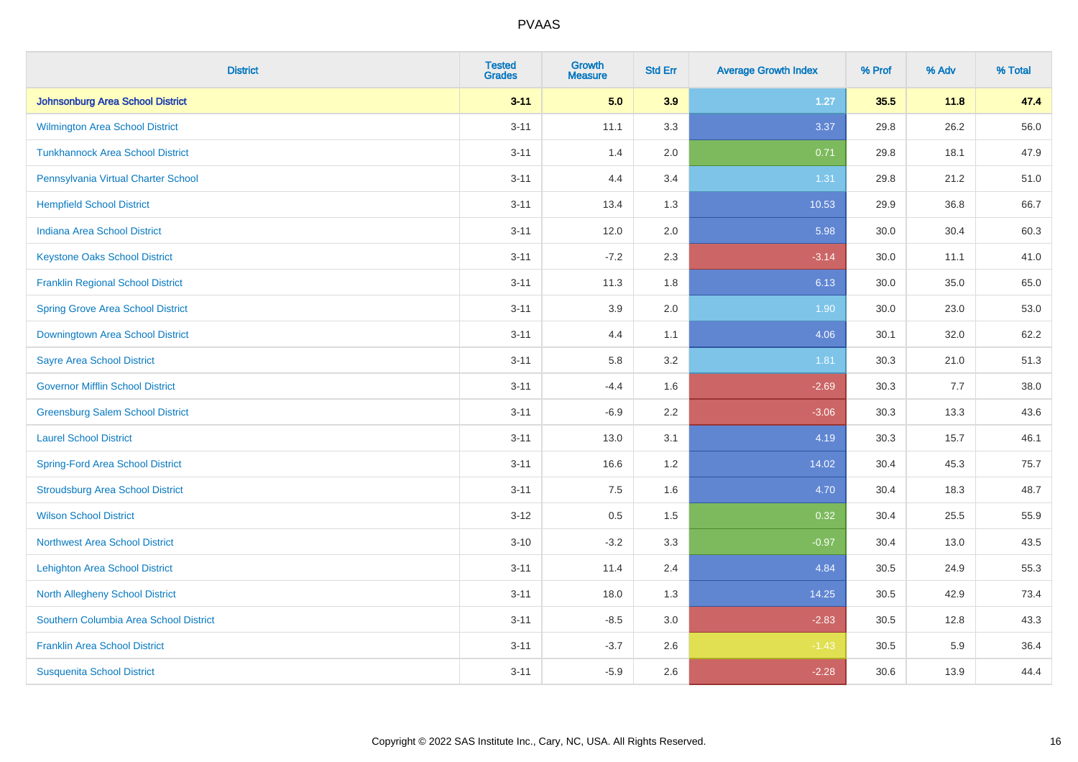| <b>District</b>                          | <b>Tested</b><br><b>Grades</b> | Growth<br><b>Measure</b> | <b>Std Err</b> | <b>Average Growth Index</b> | % Prof | % Adv | % Total |
|------------------------------------------|--------------------------------|--------------------------|----------------|-----------------------------|--------|-------|---------|
| <b>Johnsonburg Area School District</b>  | $3 - 11$                       | 5.0                      | 3.9            | 1.27                        | 35.5   | 11.8  | 47.4    |
| Wilmington Area School District          | $3 - 11$                       | 11.1                     | 3.3            | 3.37                        | 29.8   | 26.2  | 56.0    |
| <b>Tunkhannock Area School District</b>  | $3 - 11$                       | 1.4                      | 2.0            | 0.71                        | 29.8   | 18.1  | 47.9    |
| Pennsylvania Virtual Charter School      | $3 - 11$                       | 4.4                      | 3.4            | 1.31                        | 29.8   | 21.2  | 51.0    |
| <b>Hempfield School District</b>         | $3 - 11$                       | 13.4                     | 1.3            | 10.53                       | 29.9   | 36.8  | 66.7    |
| <b>Indiana Area School District</b>      | $3 - 11$                       | 12.0                     | 2.0            | 5.98                        | 30.0   | 30.4  | 60.3    |
| <b>Keystone Oaks School District</b>     | $3 - 11$                       | $-7.2$                   | 2.3            | $-3.14$                     | 30.0   | 11.1  | 41.0    |
| <b>Franklin Regional School District</b> | $3 - 11$                       | 11.3                     | 1.8            | 6.13                        | 30.0   | 35.0  | 65.0    |
| <b>Spring Grove Area School District</b> | $3 - 11$                       | 3.9                      | 2.0            | 1.90                        | 30.0   | 23.0  | 53.0    |
| Downingtown Area School District         | $3 - 11$                       | 4.4                      | 1.1            | 4.06                        | 30.1   | 32.0  | 62.2    |
| <b>Sayre Area School District</b>        | $3 - 11$                       | 5.8                      | 3.2            | 1.81                        | 30.3   | 21.0  | 51.3    |
| <b>Governor Mifflin School District</b>  | $3 - 11$                       | $-4.4$                   | 1.6            | $-2.69$                     | 30.3   | 7.7   | 38.0    |
| <b>Greensburg Salem School District</b>  | $3 - 11$                       | $-6.9$                   | 2.2            | $-3.06$                     | 30.3   | 13.3  | 43.6    |
| <b>Laurel School District</b>            | $3 - 11$                       | 13.0                     | 3.1            | 4.19                        | 30.3   | 15.7  | 46.1    |
| <b>Spring-Ford Area School District</b>  | $3 - 11$                       | 16.6                     | 1.2            | 14.02                       | 30.4   | 45.3  | 75.7    |
| <b>Stroudsburg Area School District</b>  | $3 - 11$                       | 7.5                      | 1.6            | 4.70                        | 30.4   | 18.3  | 48.7    |
| <b>Wilson School District</b>            | $3-12$                         | 0.5                      | 1.5            | 0.32                        | 30.4   | 25.5  | 55.9    |
| <b>Northwest Area School District</b>    | $3 - 10$                       | $-3.2$                   | 3.3            | $-0.97$                     | 30.4   | 13.0  | 43.5    |
| <b>Lehighton Area School District</b>    | $3 - 11$                       | 11.4                     | 2.4            | 4.84                        | 30.5   | 24.9  | 55.3    |
| <b>North Allegheny School District</b>   | $3 - 11$                       | 18.0                     | 1.3            | 14.25                       | 30.5   | 42.9  | 73.4    |
| Southern Columbia Area School District   | $3 - 11$                       | $-8.5$                   | 3.0            | $-2.83$                     | 30.5   | 12.8  | 43.3    |
| <b>Franklin Area School District</b>     | $3 - 11$                       | $-3.7$                   | 2.6            | $-1.43$                     | 30.5   | 5.9   | 36.4    |
| <b>Susquenita School District</b>        | $3 - 11$                       | $-5.9$                   | 2.6            | $-2.28$                     | 30.6   | 13.9  | 44.4    |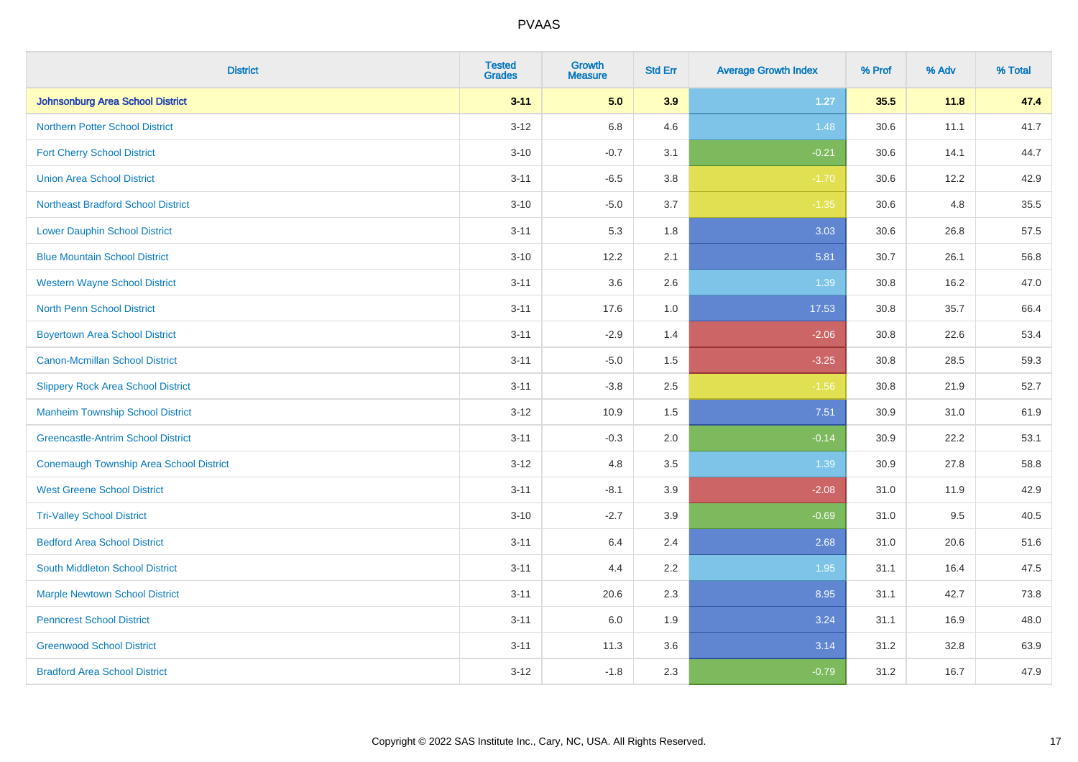| <b>District</b>                                | <b>Tested</b><br><b>Grades</b> | <b>Growth</b><br><b>Measure</b> | <b>Std Err</b> | <b>Average Growth Index</b> | % Prof | % Adv | % Total |
|------------------------------------------------|--------------------------------|---------------------------------|----------------|-----------------------------|--------|-------|---------|
| <b>Johnsonburg Area School District</b>        | $3 - 11$                       | 5.0                             | 3.9            | $1.27$                      | 35.5   | 11.8  | 47.4    |
| <b>Northern Potter School District</b>         | $3 - 12$                       | 6.8                             | 4.6            | 1.48                        | 30.6   | 11.1  | 41.7    |
| <b>Fort Cherry School District</b>             | $3 - 10$                       | $-0.7$                          | 3.1            | $-0.21$                     | 30.6   | 14.1  | 44.7    |
| <b>Union Area School District</b>              | $3 - 11$                       | $-6.5$                          | 3.8            | $-1.70$                     | 30.6   | 12.2  | 42.9    |
| <b>Northeast Bradford School District</b>      | $3 - 10$                       | $-5.0$                          | 3.7            | $-1.35$                     | 30.6   | 4.8   | 35.5    |
| <b>Lower Dauphin School District</b>           | $3 - 11$                       | 5.3                             | 1.8            | 3.03                        | 30.6   | 26.8  | 57.5    |
| <b>Blue Mountain School District</b>           | $3 - 10$                       | 12.2                            | 2.1            | 5.81                        | 30.7   | 26.1  | 56.8    |
| <b>Western Wayne School District</b>           | $3 - 11$                       | 3.6                             | 2.6            | 1.39                        | 30.8   | 16.2  | 47.0    |
| North Penn School District                     | $3 - 11$                       | 17.6                            | 1.0            | 17.53                       | 30.8   | 35.7  | 66.4    |
| <b>Boyertown Area School District</b>          | $3 - 11$                       | $-2.9$                          | 1.4            | $-2.06$                     | 30.8   | 22.6  | 53.4    |
| Canon-Mcmillan School District                 | $3 - 11$                       | $-5.0$                          | 1.5            | $-3.25$                     | 30.8   | 28.5  | 59.3    |
| <b>Slippery Rock Area School District</b>      | $3 - 11$                       | $-3.8$                          | 2.5            | $-1.56$                     | 30.8   | 21.9  | 52.7    |
| <b>Manheim Township School District</b>        | $3-12$                         | 10.9                            | 1.5            | 7.51                        | 30.9   | 31.0  | 61.9    |
| <b>Greencastle-Antrim School District</b>      | $3 - 11$                       | $-0.3$                          | 2.0            | $-0.14$                     | 30.9   | 22.2  | 53.1    |
| <b>Conemaugh Township Area School District</b> | $3-12$                         | 4.8                             | 3.5            | 1.39                        | 30.9   | 27.8  | 58.8    |
| <b>West Greene School District</b>             | $3 - 11$                       | $-8.1$                          | 3.9            | $-2.08$                     | 31.0   | 11.9  | 42.9    |
| <b>Tri-Valley School District</b>              | $3 - 10$                       | $-2.7$                          | 3.9            | $-0.69$                     | 31.0   | 9.5   | 40.5    |
| <b>Bedford Area School District</b>            | $3 - 11$                       | 6.4                             | 2.4            | 2.68                        | 31.0   | 20.6  | 51.6    |
| South Middleton School District                | $3 - 11$                       | 4.4                             | 2.2            | 1.95                        | 31.1   | 16.4  | 47.5    |
| <b>Marple Newtown School District</b>          | $3 - 11$                       | 20.6                            | 2.3            | 8.95                        | 31.1   | 42.7  | 73.8    |
| <b>Penncrest School District</b>               | $3 - 11$                       | 6.0                             | 1.9            | 3.24                        | 31.1   | 16.9  | 48.0    |
| <b>Greenwood School District</b>               | $3 - 11$                       | 11.3                            | 3.6            | 3.14                        | 31.2   | 32.8  | 63.9    |
| <b>Bradford Area School District</b>           | $3 - 12$                       | $-1.8$                          | 2.3            | $-0.79$                     | 31.2   | 16.7  | 47.9    |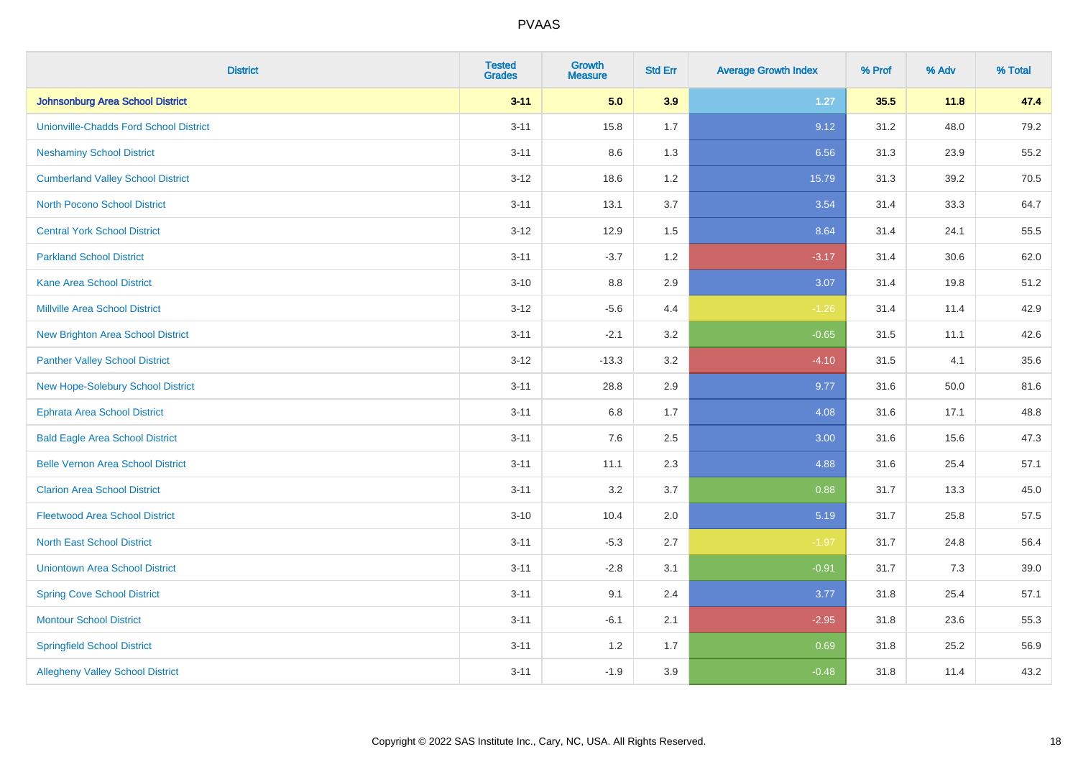| <b>District</b>                               | <b>Tested</b><br><b>Grades</b> | <b>Growth</b><br><b>Measure</b> | <b>Std Err</b> | <b>Average Growth Index</b> | % Prof | % Adv | % Total |
|-----------------------------------------------|--------------------------------|---------------------------------|----------------|-----------------------------|--------|-------|---------|
| Johnsonburg Area School District              | $3 - 11$                       | 5.0                             | 3.9            | $1.27$                      | 35.5   | 11.8  | 47.4    |
| <b>Unionville-Chadds Ford School District</b> | $3 - 11$                       | 15.8                            | 1.7            | 9.12                        | 31.2   | 48.0  | 79.2    |
| <b>Neshaminy School District</b>              | $3 - 11$                       | 8.6                             | 1.3            | 6.56                        | 31.3   | 23.9  | 55.2    |
| <b>Cumberland Valley School District</b>      | $3 - 12$                       | 18.6                            | 1.2            | 15.79                       | 31.3   | 39.2  | 70.5    |
| <b>North Pocono School District</b>           | $3 - 11$                       | 13.1                            | 3.7            | 3.54                        | 31.4   | 33.3  | 64.7    |
| <b>Central York School District</b>           | $3 - 12$                       | 12.9                            | 1.5            | 8.64                        | 31.4   | 24.1  | 55.5    |
| <b>Parkland School District</b>               | $3 - 11$                       | $-3.7$                          | 1.2            | $-3.17$                     | 31.4   | 30.6  | 62.0    |
| <b>Kane Area School District</b>              | $3 - 10$                       | 8.8                             | 2.9            | 3.07                        | 31.4   | 19.8  | 51.2    |
| Millville Area School District                | $3-12$                         | $-5.6$                          | 4.4            | $-1.26$                     | 31.4   | 11.4  | 42.9    |
| <b>New Brighton Area School District</b>      | $3 - 11$                       | $-2.1$                          | 3.2            | $-0.65$                     | 31.5   | 11.1  | 42.6    |
| <b>Panther Valley School District</b>         | $3 - 12$                       | $-13.3$                         | 3.2            | $-4.10$                     | 31.5   | 4.1   | 35.6    |
| New Hope-Solebury School District             | $3 - 11$                       | 28.8                            | 2.9            | 9.77                        | 31.6   | 50.0  | 81.6    |
| Ephrata Area School District                  | $3 - 11$                       | 6.8                             | 1.7            | 4.08                        | 31.6   | 17.1  | 48.8    |
| <b>Bald Eagle Area School District</b>        | $3 - 11$                       | 7.6                             | 2.5            | 3.00                        | 31.6   | 15.6  | 47.3    |
| <b>Belle Vernon Area School District</b>      | $3 - 11$                       | 11.1                            | 2.3            | 4.88                        | 31.6   | 25.4  | 57.1    |
| <b>Clarion Area School District</b>           | $3 - 11$                       | 3.2                             | 3.7            | 0.88                        | 31.7   | 13.3  | 45.0    |
| <b>Fleetwood Area School District</b>         | $3 - 10$                       | 10.4                            | 2.0            | 5.19                        | 31.7   | 25.8  | 57.5    |
| <b>North East School District</b>             | $3 - 11$                       | $-5.3$                          | 2.7            | $-1.97$                     | 31.7   | 24.8  | 56.4    |
| <b>Uniontown Area School District</b>         | $3 - 11$                       | $-2.8$                          | 3.1            | $-0.91$                     | 31.7   | $7.3$ | 39.0    |
| <b>Spring Cove School District</b>            | $3 - 11$                       | 9.1                             | 2.4            | 3.77                        | 31.8   | 25.4  | 57.1    |
| <b>Montour School District</b>                | $3 - 11$                       | $-6.1$                          | 2.1            | $-2.95$                     | 31.8   | 23.6  | 55.3    |
| <b>Springfield School District</b>            | $3 - 11$                       | 1.2                             | 1.7            | 0.69                        | 31.8   | 25.2  | 56.9    |
| <b>Allegheny Valley School District</b>       | $3 - 11$                       | $-1.9$                          | 3.9            | $-0.48$                     | 31.8   | 11.4  | 43.2    |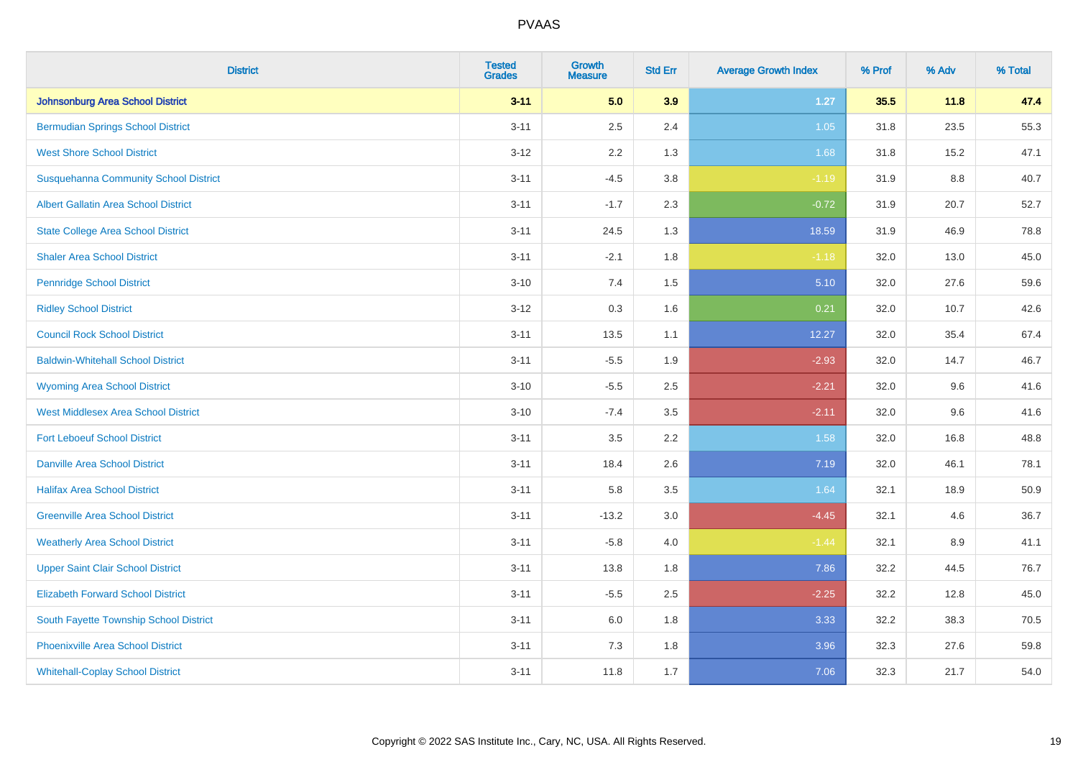| <b>District</b>                              | <b>Tested</b><br><b>Grades</b> | <b>Growth</b><br><b>Measure</b> | <b>Std Err</b> | <b>Average Growth Index</b> | % Prof | % Adv | % Total |
|----------------------------------------------|--------------------------------|---------------------------------|----------------|-----------------------------|--------|-------|---------|
| Johnsonburg Area School District             | $3 - 11$                       | 5.0                             | 3.9            | $1.27$                      | 35.5   | 11.8  | 47.4    |
| <b>Bermudian Springs School District</b>     | $3 - 11$                       | 2.5                             | 2.4            | $1.05$                      | 31.8   | 23.5  | 55.3    |
| <b>West Shore School District</b>            | $3 - 12$                       | 2.2                             | 1.3            | 1.68                        | 31.8   | 15.2  | 47.1    |
| <b>Susquehanna Community School District</b> | $3 - 11$                       | $-4.5$                          | 3.8            | $-1.19$                     | 31.9   | 8.8   | 40.7    |
| <b>Albert Gallatin Area School District</b>  | $3 - 11$                       | $-1.7$                          | 2.3            | $-0.72$                     | 31.9   | 20.7  | 52.7    |
| <b>State College Area School District</b>    | $3 - 11$                       | 24.5                            | 1.3            | 18.59                       | 31.9   | 46.9  | 78.8    |
| <b>Shaler Area School District</b>           | $3 - 11$                       | $-2.1$                          | 1.8            | $-1.18$                     | 32.0   | 13.0  | 45.0    |
| <b>Pennridge School District</b>             | $3 - 10$                       | 7.4                             | 1.5            | 5.10                        | 32.0   | 27.6  | 59.6    |
| <b>Ridley School District</b>                | $3 - 12$                       | 0.3                             | 1.6            | 0.21                        | 32.0   | 10.7  | 42.6    |
| <b>Council Rock School District</b>          | $3 - 11$                       | 13.5                            | 1.1            | 12.27                       | 32.0   | 35.4  | 67.4    |
| <b>Baldwin-Whitehall School District</b>     | $3 - 11$                       | $-5.5$                          | 1.9            | $-2.93$                     | 32.0   | 14.7  | 46.7    |
| <b>Wyoming Area School District</b>          | $3 - 10$                       | $-5.5$                          | 2.5            | $-2.21$                     | 32.0   | 9.6   | 41.6    |
| West Middlesex Area School District          | $3 - 10$                       | $-7.4$                          | 3.5            | $-2.11$                     | 32.0   | 9.6   | 41.6    |
| <b>Fort Leboeuf School District</b>          | $3 - 11$                       | 3.5                             | 2.2            | 1.58                        | 32.0   | 16.8  | 48.8    |
| <b>Danville Area School District</b>         | $3 - 11$                       | 18.4                            | 2.6            | 7.19                        | 32.0   | 46.1  | 78.1    |
| <b>Halifax Area School District</b>          | $3 - 11$                       | 5.8                             | 3.5            | 1.64                        | 32.1   | 18.9  | 50.9    |
| <b>Greenville Area School District</b>       | $3 - 11$                       | $-13.2$                         | 3.0            | $-4.45$                     | 32.1   | 4.6   | 36.7    |
| <b>Weatherly Area School District</b>        | $3 - 11$                       | $-5.8$                          | 4.0            | $-1.44$                     | 32.1   | 8.9   | 41.1    |
| <b>Upper Saint Clair School District</b>     | $3 - 11$                       | 13.8                            | 1.8            | 7.86                        | 32.2   | 44.5  | 76.7    |
| <b>Elizabeth Forward School District</b>     | $3 - 11$                       | $-5.5$                          | 2.5            | $-2.25$                     | 32.2   | 12.8  | 45.0    |
| South Fayette Township School District       | $3 - 11$                       | 6.0                             | 1.8            | 3.33                        | 32.2   | 38.3  | 70.5    |
| <b>Phoenixville Area School District</b>     | $3 - 11$                       | 7.3                             | 1.8            | 3.96                        | 32.3   | 27.6  | 59.8    |
| <b>Whitehall-Coplay School District</b>      | $3 - 11$                       | 11.8                            | 1.7            | 7.06                        | 32.3   | 21.7  | 54.0    |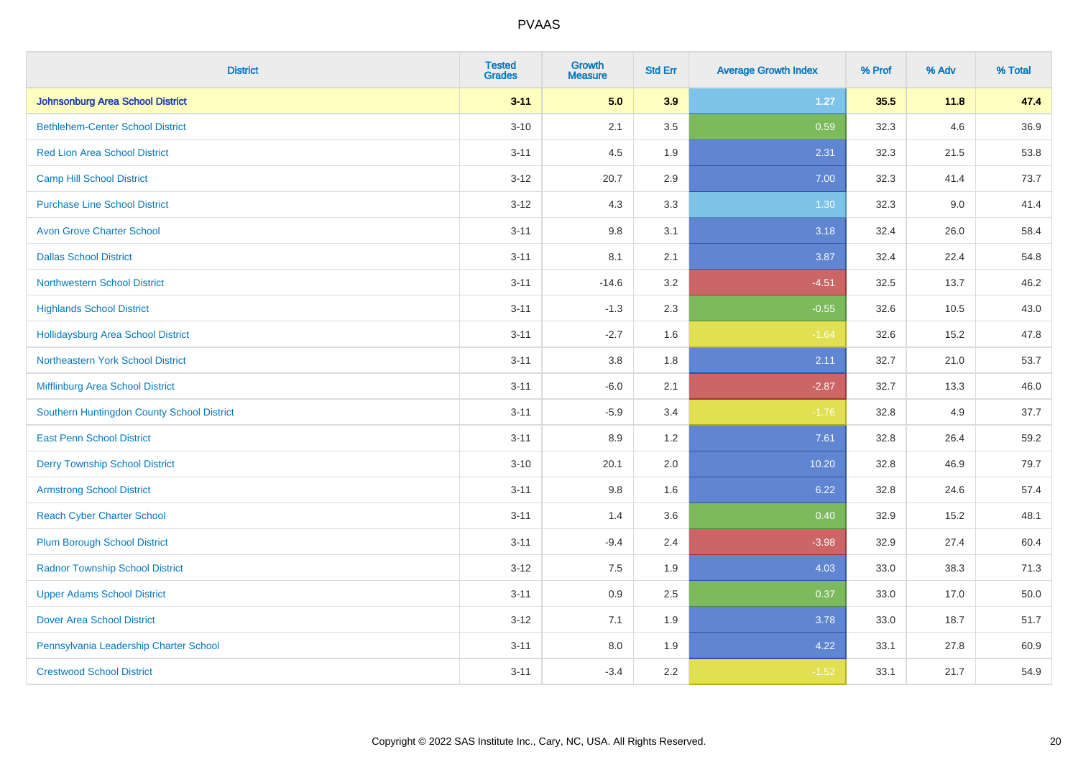| <b>District</b>                            | <b>Tested</b><br><b>Grades</b> | <b>Growth</b><br><b>Measure</b> | <b>Std Err</b> | <b>Average Growth Index</b> | % Prof | % Adv | % Total |
|--------------------------------------------|--------------------------------|---------------------------------|----------------|-----------------------------|--------|-------|---------|
| Johnsonburg Area School District           | $3 - 11$                       | 5.0                             | 3.9            | $1.27$                      | 35.5   | 11.8  | 47.4    |
| <b>Bethlehem-Center School District</b>    | $3 - 10$                       | 2.1                             | 3.5            | 0.59                        | 32.3   | 4.6   | 36.9    |
| <b>Red Lion Area School District</b>       | $3 - 11$                       | 4.5                             | 1.9            | 2.31                        | 32.3   | 21.5  | 53.8    |
| <b>Camp Hill School District</b>           | $3 - 12$                       | 20.7                            | 2.9            | 7.00                        | 32.3   | 41.4  | 73.7    |
| <b>Purchase Line School District</b>       | $3-12$                         | 4.3                             | 3.3            | 1.30                        | 32.3   | 9.0   | 41.4    |
| <b>Avon Grove Charter School</b>           | $3 - 11$                       | 9.8                             | 3.1            | 3.18                        | 32.4   | 26.0  | 58.4    |
| <b>Dallas School District</b>              | $3 - 11$                       | 8.1                             | 2.1            | 3.87                        | 32.4   | 22.4  | 54.8    |
| <b>Northwestern School District</b>        | $3 - 11$                       | $-14.6$                         | 3.2            | $-4.51$                     | 32.5   | 13.7  | 46.2    |
| <b>Highlands School District</b>           | $3 - 11$                       | $-1.3$                          | 2.3            | $-0.55$                     | 32.6   | 10.5  | 43.0    |
| <b>Hollidaysburg Area School District</b>  | $3 - 11$                       | $-2.7$                          | 1.6            | $-1.64$                     | 32.6   | 15.2  | 47.8    |
| Northeastern York School District          | $3 - 11$                       | 3.8                             | 1.8            | 2.11                        | 32.7   | 21.0  | 53.7    |
| Mifflinburg Area School District           | $3 - 11$                       | $-6.0$                          | 2.1            | $-2.87$                     | 32.7   | 13.3  | 46.0    |
| Southern Huntingdon County School District | $3 - 11$                       | $-5.9$                          | 3.4            | $-1.76$                     | 32.8   | 4.9   | 37.7    |
| <b>East Penn School District</b>           | $3 - 11$                       | 8.9                             | 1.2            | 7.61                        | 32.8   | 26.4  | 59.2    |
| <b>Derry Township School District</b>      | $3 - 10$                       | 20.1                            | 2.0            | 10.20                       | 32.8   | 46.9  | 79.7    |
| <b>Armstrong School District</b>           | $3 - 11$                       | 9.8                             | 1.6            | 6.22                        | 32.8   | 24.6  | 57.4    |
| <b>Reach Cyber Charter School</b>          | $3 - 11$                       | 1.4                             | 3.6            | 0.40                        | 32.9   | 15.2  | 48.1    |
| <b>Plum Borough School District</b>        | $3 - 11$                       | $-9.4$                          | 2.4            | $-3.98$                     | 32.9   | 27.4  | 60.4    |
| <b>Radnor Township School District</b>     | $3 - 12$                       | $7.5\,$                         | 1.9            | 4.03                        | 33.0   | 38.3  | 71.3    |
| <b>Upper Adams School District</b>         | $3 - 11$                       | 0.9                             | 2.5            | 0.37                        | 33.0   | 17.0  | 50.0    |
| <b>Dover Area School District</b>          | $3 - 12$                       | 7.1                             | 1.9            | 3.78                        | 33.0   | 18.7  | 51.7    |
| Pennsylvania Leadership Charter School     | $3 - 11$                       | 8.0                             | 1.9            | 4.22                        | 33.1   | 27.8  | 60.9    |
| <b>Crestwood School District</b>           | $3 - 11$                       | $-3.4$                          | 2.2            | $-1.52$                     | 33.1   | 21.7  | 54.9    |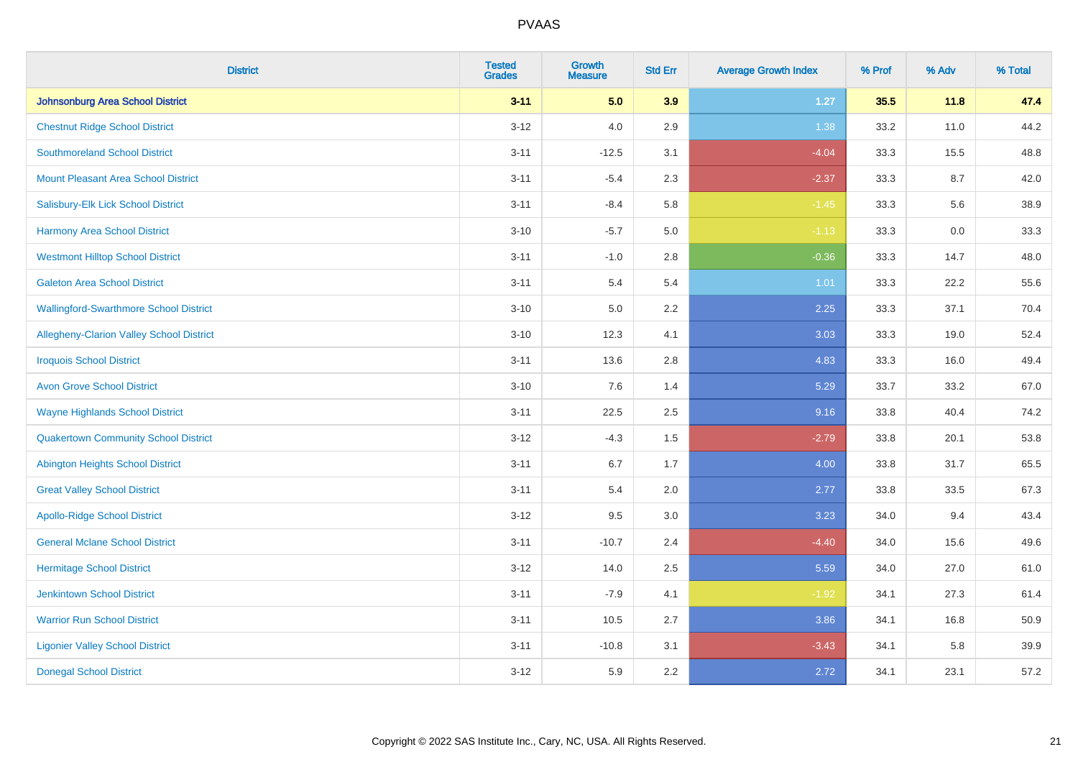| <b>District</b>                               | <b>Tested</b><br><b>Grades</b> | Growth<br><b>Measure</b> | <b>Std Err</b> | <b>Average Growth Index</b> | % Prof | % Adv   | % Total |
|-----------------------------------------------|--------------------------------|--------------------------|----------------|-----------------------------|--------|---------|---------|
| <b>Johnsonburg Area School District</b>       | $3 - 11$                       | 5.0                      | 3.9            | $1.27$                      | 35.5   | 11.8    | 47.4    |
| <b>Chestnut Ridge School District</b>         | $3 - 12$                       | 4.0                      | 2.9            | 1.38                        | 33.2   | 11.0    | 44.2    |
| <b>Southmoreland School District</b>          | $3 - 11$                       | $-12.5$                  | 3.1            | $-4.04$                     | 33.3   | 15.5    | 48.8    |
| <b>Mount Pleasant Area School District</b>    | $3 - 11$                       | $-5.4$                   | 2.3            | $-2.37$                     | 33.3   | 8.7     | 42.0    |
| Salisbury-Elk Lick School District            | $3 - 11$                       | $-8.4$                   | 5.8            | $-1.45$                     | 33.3   | 5.6     | 38.9    |
| <b>Harmony Area School District</b>           | $3 - 10$                       | $-5.7$                   | 5.0            | $-1.13$                     | 33.3   | $0.0\,$ | 33.3    |
| <b>Westmont Hilltop School District</b>       | $3 - 11$                       | $-1.0$                   | 2.8            | $-0.36$                     | 33.3   | 14.7    | 48.0    |
| <b>Galeton Area School District</b>           | $3 - 11$                       | 5.4                      | 5.4            | 1.01                        | 33.3   | 22.2    | 55.6    |
| <b>Wallingford-Swarthmore School District</b> | $3 - 10$                       | 5.0                      | 2.2            | 2.25                        | 33.3   | 37.1    | 70.4    |
| Allegheny-Clarion Valley School District      | $3 - 10$                       | 12.3                     | 4.1            | 3.03                        | 33.3   | 19.0    | 52.4    |
| <b>Iroquois School District</b>               | $3 - 11$                       | 13.6                     | 2.8            | 4.83                        | 33.3   | 16.0    | 49.4    |
| <b>Avon Grove School District</b>             | $3 - 10$                       | 7.6                      | 1.4            | 5.29                        | 33.7   | 33.2    | 67.0    |
| <b>Wayne Highlands School District</b>        | $3 - 11$                       | 22.5                     | 2.5            | 9.16                        | 33.8   | 40.4    | 74.2    |
| <b>Quakertown Community School District</b>   | $3 - 12$                       | $-4.3$                   | 1.5            | $-2.79$                     | 33.8   | 20.1    | 53.8    |
| <b>Abington Heights School District</b>       | $3 - 11$                       | 6.7                      | 1.7            | 4.00                        | 33.8   | 31.7    | 65.5    |
| <b>Great Valley School District</b>           | $3 - 11$                       | 5.4                      | 2.0            | 2.77                        | 33.8   | 33.5    | 67.3    |
| <b>Apollo-Ridge School District</b>           | $3 - 12$                       | 9.5                      | 3.0            | 3.23                        | 34.0   | 9.4     | 43.4    |
| <b>General Mclane School District</b>         | $3 - 11$                       | $-10.7$                  | 2.4            | $-4.40$                     | 34.0   | 15.6    | 49.6    |
| <b>Hermitage School District</b>              | $3-12$                         | 14.0                     | 2.5            | 5.59                        | 34.0   | 27.0    | 61.0    |
| <b>Jenkintown School District</b>             | $3 - 11$                       | $-7.9$                   | 4.1            | $-1.92$                     | 34.1   | 27.3    | 61.4    |
| <b>Warrior Run School District</b>            | $3 - 11$                       | 10.5                     | 2.7            | 3.86                        | 34.1   | 16.8    | 50.9    |
| <b>Ligonier Valley School District</b>        | $3 - 11$                       | $-10.8$                  | 3.1            | $-3.43$                     | 34.1   | 5.8     | 39.9    |
| <b>Donegal School District</b>                | $3 - 12$                       | 5.9                      | 2.2            | 2.72                        | 34.1   | 23.1    | 57.2    |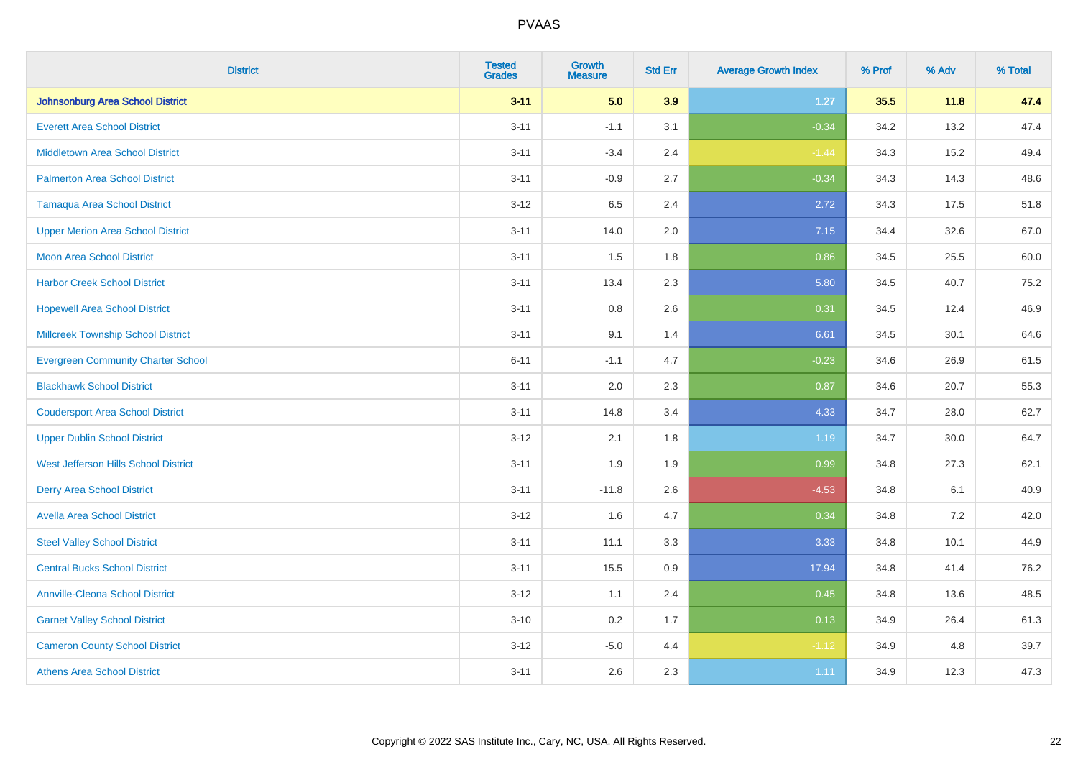| <b>District</b>                           | <b>Tested</b><br><b>Grades</b> | <b>Growth</b><br><b>Measure</b> | <b>Std Err</b> | <b>Average Growth Index</b> | % Prof | % Adv | % Total |
|-------------------------------------------|--------------------------------|---------------------------------|----------------|-----------------------------|--------|-------|---------|
| <b>Johnsonburg Area School District</b>   | $3 - 11$                       | 5.0                             | 3.9            | $1.27$                      | 35.5   | 11.8  | 47.4    |
| <b>Everett Area School District</b>       | $3 - 11$                       | $-1.1$                          | 3.1            | $-0.34$                     | 34.2   | 13.2  | 47.4    |
| <b>Middletown Area School District</b>    | $3 - 11$                       | $-3.4$                          | 2.4            | $-1.44$                     | 34.3   | 15.2  | 49.4    |
| <b>Palmerton Area School District</b>     | $3 - 11$                       | $-0.9$                          | 2.7            | $-0.34$                     | 34.3   | 14.3  | 48.6    |
| <b>Tamaqua Area School District</b>       | $3 - 12$                       | 6.5                             | 2.4            | 2.72                        | 34.3   | 17.5  | 51.8    |
| <b>Upper Merion Area School District</b>  | $3 - 11$                       | 14.0                            | 2.0            | 7.15                        | 34.4   | 32.6  | 67.0    |
| Moon Area School District                 | $3 - 11$                       | 1.5                             | 1.8            | 0.86                        | 34.5   | 25.5  | 60.0    |
| <b>Harbor Creek School District</b>       | $3 - 11$                       | 13.4                            | 2.3            | 5.80                        | 34.5   | 40.7  | 75.2    |
| <b>Hopewell Area School District</b>      | $3 - 11$                       | 0.8                             | 2.6            | 0.31                        | 34.5   | 12.4  | 46.9    |
| <b>Millcreek Township School District</b> | $3 - 11$                       | 9.1                             | 1.4            | 6.61                        | 34.5   | 30.1  | 64.6    |
| <b>Evergreen Community Charter School</b> | $6 - 11$                       | $-1.1$                          | 4.7            | $-0.23$                     | 34.6   | 26.9  | 61.5    |
| <b>Blackhawk School District</b>          | $3 - 11$                       | 2.0                             | 2.3            | 0.87                        | 34.6   | 20.7  | 55.3    |
| <b>Coudersport Area School District</b>   | $3 - 11$                       | 14.8                            | 3.4            | 4.33                        | 34.7   | 28.0  | 62.7    |
| <b>Upper Dublin School District</b>       | $3 - 12$                       | 2.1                             | 1.8            | 1.19                        | 34.7   | 30.0  | 64.7    |
| West Jefferson Hills School District      | $3 - 11$                       | 1.9                             | 1.9            | 0.99                        | 34.8   | 27.3  | 62.1    |
| <b>Derry Area School District</b>         | $3 - 11$                       | $-11.8$                         | 2.6            | $-4.53$                     | 34.8   | 6.1   | 40.9    |
| <b>Avella Area School District</b>        | $3 - 12$                       | 1.6                             | 4.7            | 0.34                        | 34.8   | 7.2   | 42.0    |
| <b>Steel Valley School District</b>       | $3 - 11$                       | 11.1                            | 3.3            | 3.33                        | 34.8   | 10.1  | 44.9    |
| <b>Central Bucks School District</b>      | $3 - 11$                       | 15.5                            | 0.9            | 17.94                       | 34.8   | 41.4  | 76.2    |
| <b>Annville-Cleona School District</b>    | $3 - 12$                       | 1.1                             | 2.4            | 0.45                        | 34.8   | 13.6  | 48.5    |
| <b>Garnet Valley School District</b>      | $3 - 10$                       | 0.2                             | 1.7            | 0.13                        | 34.9   | 26.4  | 61.3    |
| <b>Cameron County School District</b>     | $3 - 12$                       | $-5.0$                          | 4.4            | $-1.12$                     | 34.9   | 4.8   | 39.7    |
| <b>Athens Area School District</b>        | $3 - 11$                       | 2.6                             | 2.3            | 1.11                        | 34.9   | 12.3  | 47.3    |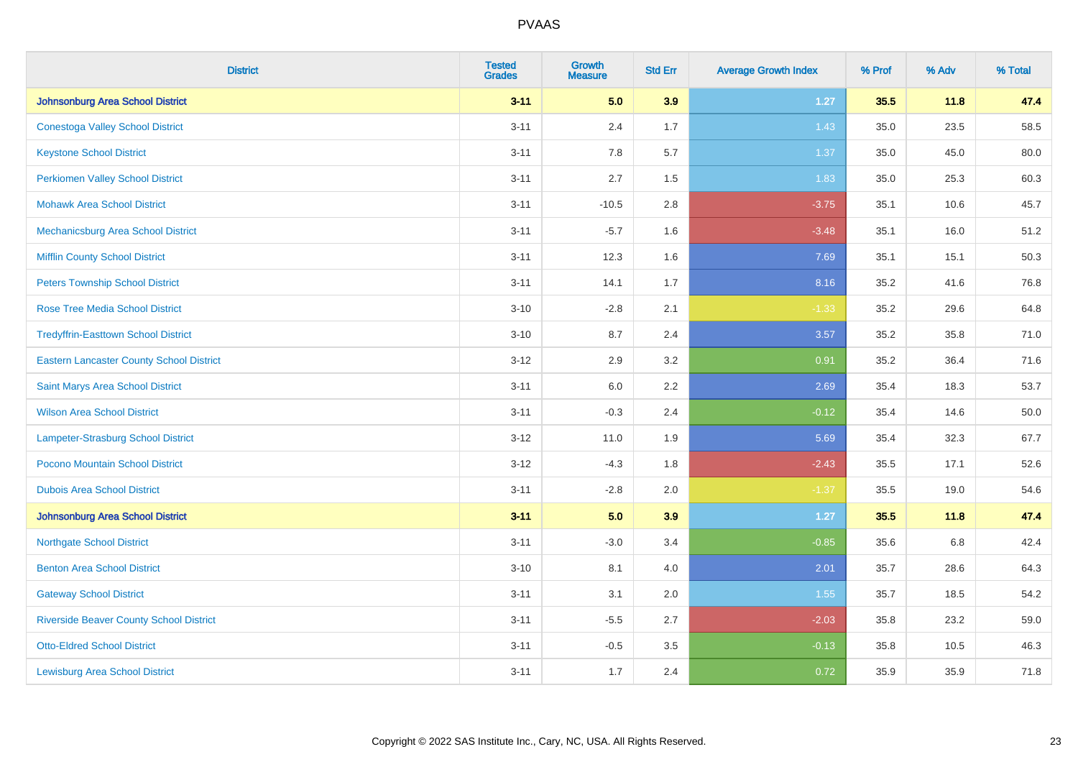| <b>District</b>                                 | <b>Tested</b><br><b>Grades</b> | <b>Growth</b><br><b>Measure</b> | <b>Std Err</b> | <b>Average Growth Index</b> | % Prof | % Adv | % Total |
|-------------------------------------------------|--------------------------------|---------------------------------|----------------|-----------------------------|--------|-------|---------|
| <b>Johnsonburg Area School District</b>         | $3 - 11$                       | 5.0                             | 3.9            | $1.27$                      | 35.5   | 11.8  | 47.4    |
| <b>Conestoga Valley School District</b>         | $3 - 11$                       | 2.4                             | 1.7            | 1.43                        | 35.0   | 23.5  | 58.5    |
| <b>Keystone School District</b>                 | $3 - 11$                       | 7.8                             | 5.7            | 1.37                        | 35.0   | 45.0  | 80.0    |
| <b>Perkiomen Valley School District</b>         | $3 - 11$                       | 2.7                             | 1.5            | 1.83                        | 35.0   | 25.3  | 60.3    |
| <b>Mohawk Area School District</b>              | $3 - 11$                       | $-10.5$                         | 2.8            | $-3.75$                     | 35.1   | 10.6  | 45.7    |
| Mechanicsburg Area School District              | $3 - 11$                       | $-5.7$                          | 1.6            | $-3.48$                     | 35.1   | 16.0  | 51.2    |
| <b>Mifflin County School District</b>           | $3 - 11$                       | 12.3                            | 1.6            | 7.69                        | 35.1   | 15.1  | 50.3    |
| <b>Peters Township School District</b>          | $3 - 11$                       | 14.1                            | 1.7            | 8.16                        | 35.2   | 41.6  | 76.8    |
| Rose Tree Media School District                 | $3 - 10$                       | $-2.8$                          | 2.1            | $-1.33$                     | 35.2   | 29.6  | 64.8    |
| <b>Tredyffrin-Easttown School District</b>      | $3 - 10$                       | 8.7                             | 2.4            | 3.57                        | 35.2   | 35.8  | 71.0    |
| <b>Eastern Lancaster County School District</b> | $3 - 12$                       | 2.9                             | 3.2            | 0.91                        | 35.2   | 36.4  | 71.6    |
| Saint Marys Area School District                | $3 - 11$                       | 6.0                             | 2.2            | 2.69                        | 35.4   | 18.3  | 53.7    |
| <b>Wilson Area School District</b>              | $3 - 11$                       | $-0.3$                          | 2.4            | $-0.12$                     | 35.4   | 14.6  | 50.0    |
| Lampeter-Strasburg School District              | $3 - 12$                       | 11.0                            | 1.9            | 5.69                        | 35.4   | 32.3  | 67.7    |
| Pocono Mountain School District                 | $3 - 12$                       | $-4.3$                          | 1.8            | $-2.43$                     | 35.5   | 17.1  | 52.6    |
| <b>Dubois Area School District</b>              | $3 - 11$                       | $-2.8$                          | 2.0            | $-1.37$                     | 35.5   | 19.0  | 54.6    |
| <b>Johnsonburg Area School District</b>         | $3 - 11$                       | 5.0                             | 3.9            | 1.27                        | 35.5   | 11.8  | 47.4    |
| <b>Northgate School District</b>                | $3 - 11$                       | $-3.0$                          | 3.4            | $-0.85$                     | 35.6   | 6.8   | 42.4    |
| <b>Benton Area School District</b>              | $3 - 10$                       | 8.1                             | 4.0            | 2.01                        | 35.7   | 28.6  | 64.3    |
| <b>Gateway School District</b>                  | $3 - 11$                       | 3.1                             | 2.0            | 1.55                        | 35.7   | 18.5  | 54.2    |
| <b>Riverside Beaver County School District</b>  | $3 - 11$                       | $-5.5$                          | 2.7            | $-2.03$                     | 35.8   | 23.2  | 59.0    |
| <b>Otto-Eldred School District</b>              | $3 - 11$                       | $-0.5$                          | 3.5            | $-0.13$                     | 35.8   | 10.5  | 46.3    |
| <b>Lewisburg Area School District</b>           | $3 - 11$                       | 1.7                             | 2.4            | 0.72                        | 35.9   | 35.9  | 71.8    |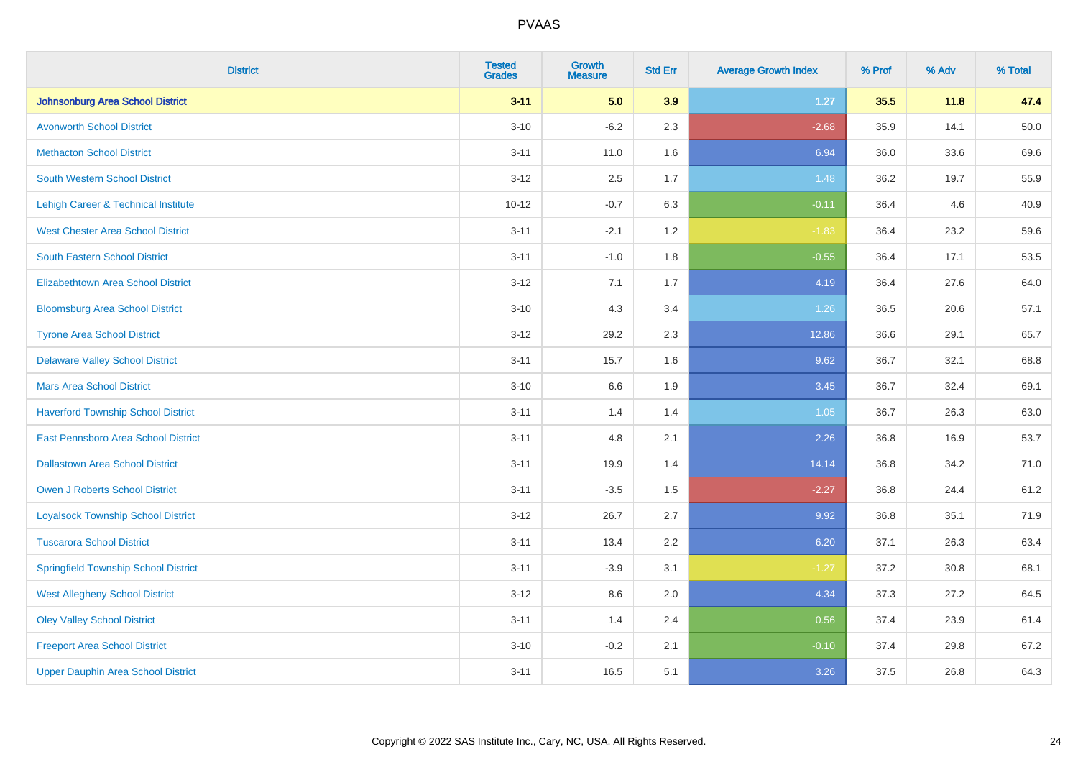| <b>District</b>                             | <b>Tested</b><br><b>Grades</b> | Growth<br><b>Measure</b> | <b>Std Err</b> | <b>Average Growth Index</b> | % Prof | % Adv | % Total |
|---------------------------------------------|--------------------------------|--------------------------|----------------|-----------------------------|--------|-------|---------|
| <b>Johnsonburg Area School District</b>     | $3 - 11$                       | 5.0                      | 3.9            | 1.27                        | 35.5   | 11.8  | 47.4    |
| <b>Avonworth School District</b>            | $3 - 10$                       | $-6.2$                   | 2.3            | $-2.68$                     | 35.9   | 14.1  | 50.0    |
| <b>Methacton School District</b>            | $3 - 11$                       | 11.0                     | 1.6            | 6.94                        | 36.0   | 33.6  | 69.6    |
| <b>South Western School District</b>        | $3 - 12$                       | 2.5                      | 1.7            | 1.48                        | 36.2   | 19.7  | 55.9    |
| Lehigh Career & Technical Institute         | $10 - 12$                      | $-0.7$                   | 6.3            | $-0.11$                     | 36.4   | 4.6   | 40.9    |
| <b>West Chester Area School District</b>    | $3 - 11$                       | $-2.1$                   | 1.2            | $-1.83$                     | 36.4   | 23.2  | 59.6    |
| <b>South Eastern School District</b>        | $3 - 11$                       | $-1.0$                   | 1.8            | $-0.55$                     | 36.4   | 17.1  | 53.5    |
| <b>Elizabethtown Area School District</b>   | $3 - 12$                       | 7.1                      | 1.7            | 4.19                        | 36.4   | 27.6  | 64.0    |
| <b>Bloomsburg Area School District</b>      | $3 - 10$                       | 4.3                      | 3.4            | 1.26                        | 36.5   | 20.6  | 57.1    |
| <b>Tyrone Area School District</b>          | $3 - 12$                       | 29.2                     | 2.3            | 12.86                       | 36.6   | 29.1  | 65.7    |
| <b>Delaware Valley School District</b>      | $3 - 11$                       | 15.7                     | 1.6            | 9.62                        | 36.7   | 32.1  | 68.8    |
| <b>Mars Area School District</b>            | $3 - 10$                       | $6.6\,$                  | 1.9            | 3.45                        | 36.7   | 32.4  | 69.1    |
| <b>Haverford Township School District</b>   | $3 - 11$                       | 1.4                      | 1.4            | $1.05$                      | 36.7   | 26.3  | 63.0    |
| <b>East Pennsboro Area School District</b>  | $3 - 11$                       | 4.8                      | 2.1            | 2.26                        | 36.8   | 16.9  | 53.7    |
| <b>Dallastown Area School District</b>      | $3 - 11$                       | 19.9                     | 1.4            | 14.14                       | 36.8   | 34.2  | 71.0    |
| Owen J Roberts School District              | $3 - 11$                       | $-3.5$                   | 1.5            | $-2.27$                     | 36.8   | 24.4  | 61.2    |
| <b>Loyalsock Township School District</b>   | $3 - 12$                       | 26.7                     | 2.7            | 9.92                        | 36.8   | 35.1  | 71.9    |
| <b>Tuscarora School District</b>            | $3 - 11$                       | 13.4                     | 2.2            | 6.20                        | 37.1   | 26.3  | 63.4    |
| <b>Springfield Township School District</b> | $3 - 11$                       | $-3.9$                   | 3.1            | $-1.27$                     | 37.2   | 30.8  | 68.1    |
| <b>West Allegheny School District</b>       | $3 - 12$                       | 8.6                      | 2.0            | 4.34                        | 37.3   | 27.2  | 64.5    |
| <b>Oley Valley School District</b>          | $3 - 11$                       | 1.4                      | 2.4            | 0.56                        | 37.4   | 23.9  | 61.4    |
| <b>Freeport Area School District</b>        | $3 - 10$                       | $-0.2$                   | 2.1            | $-0.10$                     | 37.4   | 29.8  | 67.2    |
| <b>Upper Dauphin Area School District</b>   | $3 - 11$                       | 16.5                     | 5.1            | 3.26                        | 37.5   | 26.8  | 64.3    |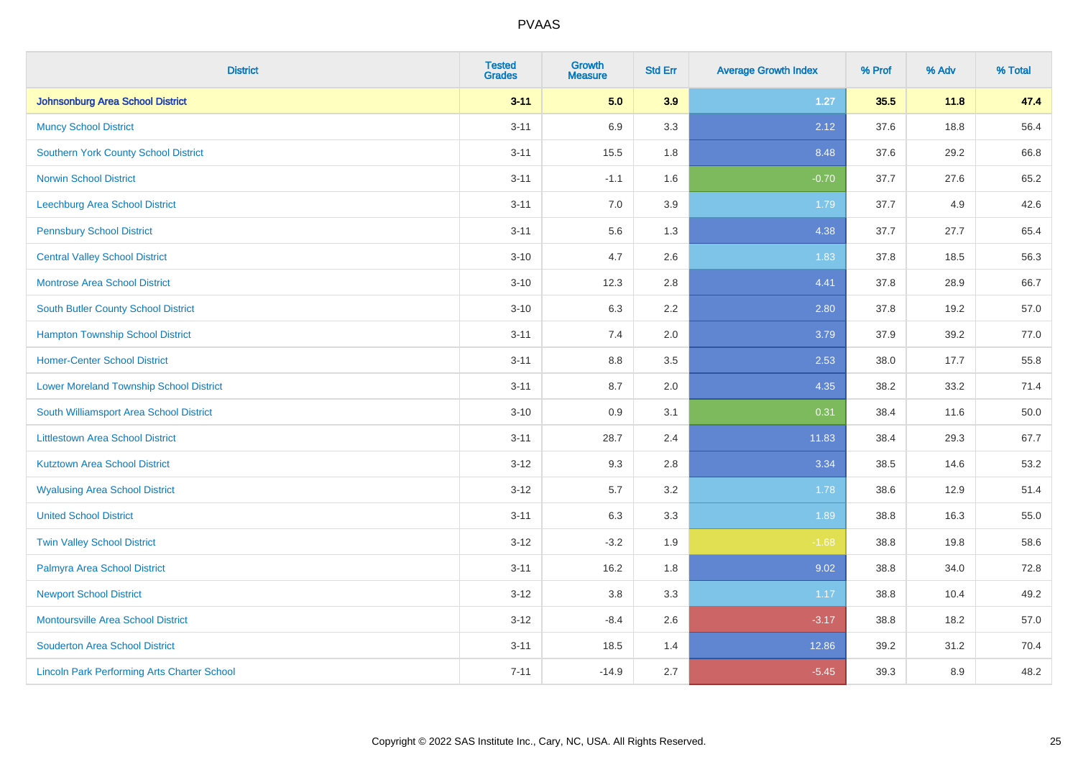| <b>District</b>                                    | <b>Tested</b><br><b>Grades</b> | <b>Growth</b><br><b>Measure</b> | <b>Std Err</b> | <b>Average Growth Index</b> | % Prof | % Adv | % Total |
|----------------------------------------------------|--------------------------------|---------------------------------|----------------|-----------------------------|--------|-------|---------|
| <b>Johnsonburg Area School District</b>            | $3 - 11$                       | 5.0                             | 3.9            | $1.27$                      | 35.5   | 11.8  | 47.4    |
| <b>Muncy School District</b>                       | $3 - 11$                       | 6.9                             | 3.3            | 2.12                        | 37.6   | 18.8  | 56.4    |
| <b>Southern York County School District</b>        | $3 - 11$                       | 15.5                            | 1.8            | 8.48                        | 37.6   | 29.2  | 66.8    |
| <b>Norwin School District</b>                      | $3 - 11$                       | $-1.1$                          | 1.6            | $-0.70$                     | 37.7   | 27.6  | 65.2    |
| Leechburg Area School District                     | $3 - 11$                       | 7.0                             | 3.9            | 1.79                        | 37.7   | 4.9   | 42.6    |
| <b>Pennsbury School District</b>                   | $3 - 11$                       | 5.6                             | 1.3            | 4.38                        | 37.7   | 27.7  | 65.4    |
| <b>Central Valley School District</b>              | $3 - 10$                       | 4.7                             | 2.6            | 1.83                        | 37.8   | 18.5  | 56.3    |
| <b>Montrose Area School District</b>               | $3 - 10$                       | 12.3                            | 2.8            | 4.41                        | 37.8   | 28.9  | 66.7    |
| South Butler County School District                | $3 - 10$                       | 6.3                             | 2.2            | 2.80                        | 37.8   | 19.2  | 57.0    |
| <b>Hampton Township School District</b>            | $3 - 11$                       | 7.4                             | 2.0            | 3.79                        | 37.9   | 39.2  | 77.0    |
| <b>Homer-Center School District</b>                | $3 - 11$                       | 8.8                             | 3.5            | 2.53                        | 38.0   | 17.7  | 55.8    |
| <b>Lower Moreland Township School District</b>     | $3 - 11$                       | 8.7                             | 2.0            | 4.35                        | 38.2   | 33.2  | 71.4    |
| South Williamsport Area School District            | $3 - 10$                       | 0.9                             | 3.1            | 0.31                        | 38.4   | 11.6  | 50.0    |
| <b>Littlestown Area School District</b>            | $3 - 11$                       | 28.7                            | 2.4            | 11.83                       | 38.4   | 29.3  | 67.7    |
| <b>Kutztown Area School District</b>               | $3 - 12$                       | 9.3                             | 2.8            | 3.34                        | 38.5   | 14.6  | 53.2    |
| <b>Wyalusing Area School District</b>              | $3 - 12$                       | 5.7                             | 3.2            | 1.78                        | 38.6   | 12.9  | 51.4    |
| <b>United School District</b>                      | $3 - 11$                       | 6.3                             | 3.3            | 1.89                        | 38.8   | 16.3  | 55.0    |
| <b>Twin Valley School District</b>                 | $3 - 12$                       | $-3.2$                          | 1.9            | $-1.68$                     | 38.8   | 19.8  | 58.6    |
| Palmyra Area School District                       | $3 - 11$                       | 16.2                            | 1.8            | 9.02                        | 38.8   | 34.0  | 72.8    |
| <b>Newport School District</b>                     | $3 - 12$                       | 3.8                             | 3.3            | 1.17                        | 38.8   | 10.4  | 49.2    |
| <b>Montoursville Area School District</b>          | $3 - 12$                       | $-8.4$                          | 2.6            | $-3.17$                     | 38.8   | 18.2  | 57.0    |
| <b>Souderton Area School District</b>              | $3 - 11$                       | 18.5                            | 1.4            | 12.86                       | 39.2   | 31.2  | 70.4    |
| <b>Lincoln Park Performing Arts Charter School</b> | $7 - 11$                       | $-14.9$                         | 2.7            | $-5.45$                     | 39.3   | 8.9   | 48.2    |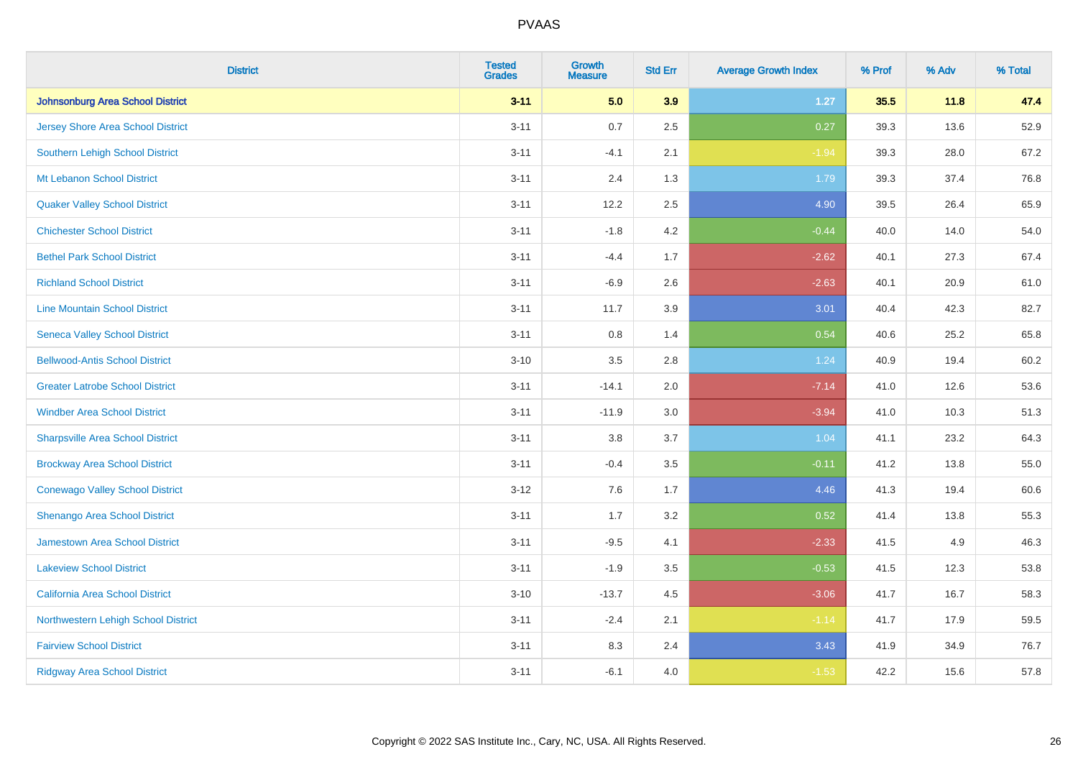| <b>District</b>                          | <b>Tested</b><br><b>Grades</b> | <b>Growth</b><br><b>Measure</b> | <b>Std Err</b> | <b>Average Growth Index</b> | % Prof | % Adv | % Total |
|------------------------------------------|--------------------------------|---------------------------------|----------------|-----------------------------|--------|-------|---------|
| <b>Johnsonburg Area School District</b>  | $3 - 11$                       | 5.0                             | 3.9            | $1.27$                      | 35.5   | 11.8  | 47.4    |
| <b>Jersey Shore Area School District</b> | $3 - 11$                       | 0.7                             | 2.5            | 0.27                        | 39.3   | 13.6  | 52.9    |
| <b>Southern Lehigh School District</b>   | $3 - 11$                       | $-4.1$                          | 2.1            | $-1.94$                     | 39.3   | 28.0  | 67.2    |
| Mt Lebanon School District               | $3 - 11$                       | 2.4                             | 1.3            | 1.79                        | 39.3   | 37.4  | 76.8    |
| <b>Quaker Valley School District</b>     | $3 - 11$                       | 12.2                            | 2.5            | 4.90                        | 39.5   | 26.4  | 65.9    |
| <b>Chichester School District</b>        | $3 - 11$                       | $-1.8$                          | 4.2            | $-0.44$                     | 40.0   | 14.0  | 54.0    |
| <b>Bethel Park School District</b>       | $3 - 11$                       | $-4.4$                          | 1.7            | $-2.62$                     | 40.1   | 27.3  | 67.4    |
| <b>Richland School District</b>          | $3 - 11$                       | $-6.9$                          | 2.6            | $-2.63$                     | 40.1   | 20.9  | 61.0    |
| <b>Line Mountain School District</b>     | $3 - 11$                       | 11.7                            | 3.9            | 3.01                        | 40.4   | 42.3  | 82.7    |
| <b>Seneca Valley School District</b>     | $3 - 11$                       | $0.8\,$                         | 1.4            | 0.54                        | 40.6   | 25.2  | 65.8    |
| <b>Bellwood-Antis School District</b>    | $3 - 10$                       | 3.5                             | 2.8            | 1.24                        | 40.9   | 19.4  | 60.2    |
| <b>Greater Latrobe School District</b>   | $3 - 11$                       | $-14.1$                         | 2.0            | $-7.14$                     | 41.0   | 12.6  | 53.6    |
| <b>Windber Area School District</b>      | $3 - 11$                       | $-11.9$                         | 3.0            | $-3.94$                     | 41.0   | 10.3  | 51.3    |
| <b>Sharpsville Area School District</b>  | $3 - 11$                       | 3.8                             | 3.7            | 1.04                        | 41.1   | 23.2  | 64.3    |
| <b>Brockway Area School District</b>     | $3 - 11$                       | $-0.4$                          | $3.5\,$        | $-0.11$                     | 41.2   | 13.8  | 55.0    |
| <b>Conewago Valley School District</b>   | $3 - 12$                       | 7.6                             | 1.7            | 4.46                        | 41.3   | 19.4  | 60.6    |
| Shenango Area School District            | $3 - 11$                       | 1.7                             | 3.2            | 0.52                        | 41.4   | 13.8  | 55.3    |
| Jamestown Area School District           | $3 - 11$                       | $-9.5$                          | 4.1            | $-2.33$                     | 41.5   | 4.9   | 46.3    |
| <b>Lakeview School District</b>          | $3 - 11$                       | $-1.9$                          | $3.5\,$        | $-0.53$                     | 41.5   | 12.3  | 53.8    |
| <b>California Area School District</b>   | $3 - 10$                       | $-13.7$                         | 4.5            | $-3.06$                     | 41.7   | 16.7  | 58.3    |
| Northwestern Lehigh School District      | $3 - 11$                       | $-2.4$                          | 2.1            | $-1.14$                     | 41.7   | 17.9  | 59.5    |
| <b>Fairview School District</b>          | $3 - 11$                       | 8.3                             | 2.4            | 3.43                        | 41.9   | 34.9  | 76.7    |
| <b>Ridgway Area School District</b>      | $3 - 11$                       | $-6.1$                          | 4.0            | $-1.53$                     | 42.2   | 15.6  | 57.8    |